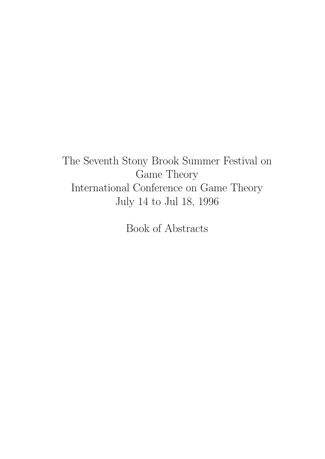The Seventh Stony Brook Summer Festival on Game Theory International Conference on Game Theory July 14 to Jul 18, 1996

Book of Abstracts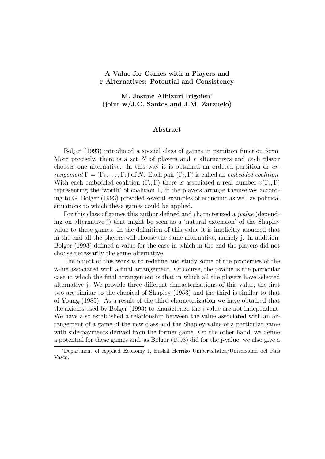# A Value for Games with n Players and r Alternatives: Potential and Consistency

M. Josune Albizuri Irigoien<sup>∗</sup> (joint w/J.C. Santos and J.M. Zarzuelo)

#### Abstract

Bolger (1993) introduced a special class of games in partition function form. More precisely, there is a set N of players and  $r$  alternatives and each player chooses one alternative. In this way it is obtained an ordered partition or arrangement  $\Gamma = (\Gamma_1, \ldots, \Gamma_r)$  of N. Each pair  $(\Gamma_i, \Gamma)$  is called an *embedded coalition*. With each embedded coalition  $(\Gamma_i, \Gamma)$  there is associated a real number  $v(\Gamma_i, \Gamma)$ representing the 'worth' of coalition  $\Gamma_i$  if the players arrange themselves according to G. Bolger (1993) provided several examples of economic as well as political situations to which these games could be applied.

For this class of games this author defined and characterized a *jualue* (depending on alternative j) that might be seen as a 'natural extension' of the Shapley value to these games. In the definition of this value it is implicitly assumed that in the end all the players will choose the same alternative, namely j. In addition, Bolger (1993) defined a value for the case in which in the end the players did not choose necessarily the same alternative.

The object of this work is to redefine and study some of the properties of the value associated with a final arrangement. Of course, the j-value is the particular case in which the final arrangement is that in which all the players have selected alternative j. We provide three different characterizations of this value, the first two are similar to the classical of Shapley (1953) and the third is similar to that of Young (1985). As a result of the third characterization we have obtained that the axioms used by Bolger (1993) to characterize the j-value are not independent. We have also established a relationship between the value associated with an arrangement of a game of the new class and the Shapley value of a particular game with side-payments derived from the former game. On the other hand, we define a potential for these games and, as Bolger (1993) did for the j-value, we also give a

<sup>∗</sup>Department of Applied Economy I, Euskal Herriko Unibertsitatea/Universidad del Pais Vasco.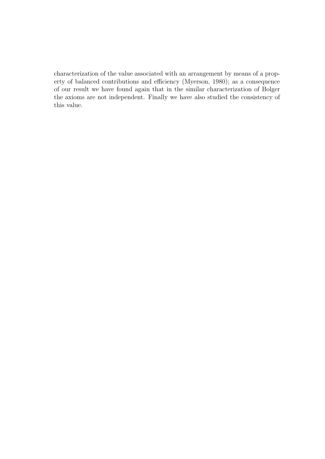characterization of the value associated with an arrangement by means of a property of balanced contributions and efficiency (Myerson, 1980); as a consequence of our result we have found again that in the similar characterization of Bolger the axioms are not independent. Finally we have also studied the consistency of this value.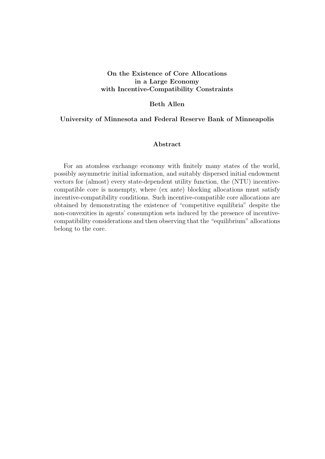# On the Existence of Core Allocations in a Large Economy with Incentive-Compatibility Constraints

# Beth Allen

### University of Minnesota and Federal Reserve Bank of Minneapolis

# Abstract

For an atomless exchange economy with finitely many states of the world, possibly asymmetric initial information, and suitably dispersed initial endowment vectors for (almost) every state-dependent utility function, the (NTU) incentivecompatible core is nonempty, where (ex ante) blocking allocations must satisfy incentive-compatibility conditions. Such incentive-compatible core allocations are obtained by demonstrating the existence of "competitive equilibria" despite the non-convexities in agents' consumption sets induced by the presence of incentivecompatibility considerations and then observing that the "equilibrium" allocations belong to the core.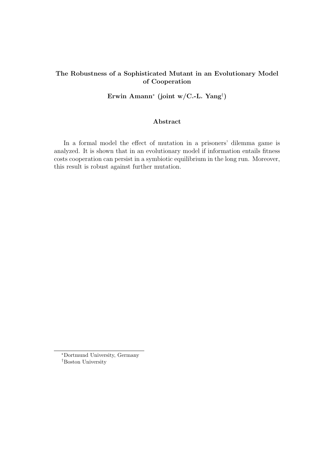# The Robustness of a Sophisticated Mutant in an Evolutionary Model of Cooperation

Erwin Amann<sup>∗</sup> (joint w/C.-L. Yang† )

# Abstract

In a formal model the effect of mutation in a prisoners' dilemma game is analyzed. It is shown that in an evolutionary model if information entails fitness costs cooperation can persist in a symbiotic equilibrium in the long run. Moreover, this result is robust against further mutation.

<sup>∗</sup>Dortmund University, Germany †Boston University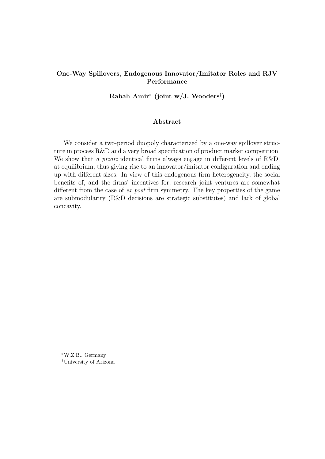# One-Way Spillovers, Endogenous Innovator/Imitator Roles and RJV Performance

Rabah Amir<sup>∗</sup> (joint w/J. Wooders† )

#### Abstract

We consider a two-period duopoly characterized by a one-way spillover structure in process R&D and a very broad specification of product market competition. We show that a priori identical firms always engage in different levels of R&D, at equilibrium, thus giving rise to an innovator/imitator configuration and ending up with different sizes. In view of this endogenous firm heterogeneity, the social benefits of, and the firms' incentives for, research joint ventures are somewhat different from the case of ex post firm symmetry. The key properties of the game are submodularity (R&D decisions are strategic substitutes) and lack of global concavity.

<sup>∗</sup>W.Z.B., Germany †University of Arizona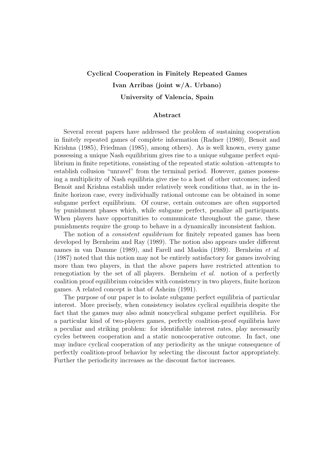# Cyclical Cooperation in Finitely Repeated Games Ivan Arribas (joint w/A. Urbano) University of Valencia, Spain

#### Abstract

Several recent papers have addressed the problem of sustaining cooperation in finitely repeated games of complete information (Radner (1980), Benoit and Krishna (1985), Friedman (1985), among others). As is well known, every game possessing a unique Nash equilibrium gives rise to a unique subgame perfect equilibrium in finite repetitions, consisting of the repeated static solution -attempts to establish collusion "unravel" from the terminal period. However, games possessing a multiplicity of Nash equilibria give rise to a host of other outcomes; indeed Benoit and Krishna establish under relatively week conditions that, as in the infinite horizon case, every individually rational outcome can be obtained in some subgame perfect equilibrium. Of course, certain outcomes are often supported by punishment phases which, while subgame perfect, penalize all participants. When players have opportunities to communicate throughout the game, these punishments require the group to behave in a dynamically inconsistent fashion.

The notion of a *consistent equilibrium* for finitely repeated games has been developed by Bernheim and Ray (1989). The notion also appears under different names in van Damme (1989), and Farell and Maskin (1989). Bernheim et al. (1987) noted that this notion may not be entirely satisfactory for games involving more than two players, in that the above papers have restricted attention to renegotiation by the set of all players. Bernheim et al. notion of a perfectly coalition proof equilibrium coincides with consistency in two players, finite horizon games. A related concept is that of Asheim (1991).

The purpose of our paper is to isolate subgame perfect equilibria of particular interest. More precisely, when consistency isolates cyclical equilibria despite the fact that the games may also admit noncyclical subgame perfect equilibria. For a particular kind of two-players games, perfectly coalition-proof equilibria have a peculiar and striking problem: for identifiable interest rates, play necessarily cycles between cooperation and a static noncooperative outcome. In fact, one may induce cyclical cooperation of any periodicity as the unique consequence of perfectly coalition-proof behavior by selecting the discount factor appropriately. Further the periodicity increases as the discount factor increases.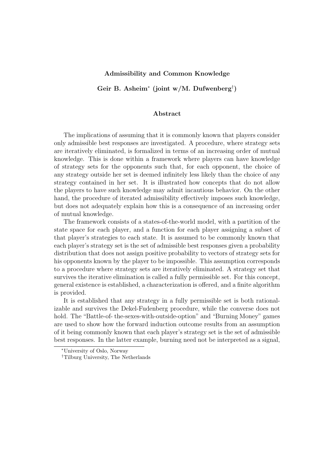#### Admissibility and Common Knowledge

Geir B. Asheim<sup>∗</sup> (joint w/M. Dufwenberg† )

#### Abstract

The implications of assuming that it is commonly known that players consider only admissible best responses are investigated. A procedure, where strategy sets are iteratively eliminated, is formalized in terms of an increasing order of mutual knowledge. This is done within a framework where players can have knowledge of strategy sets for the opponents such that, for each opponent, the choice of any strategy outside her set is deemed infinitely less likely than the choice of any strategy contained in her set. It is illustrated how concepts that do not allow the players to have such knowledge may admit incautious behavior. On the other hand, the procedure of iterated admissibility effectively imposes such knowledge, but does not adequately explain how this is a consequence of an increasing order of mutual knowledge.

The framework consists of a states-of-the-world model, with a partition of the state space for each player, and a function for each player assigning a subset of that player's strategies to each state. It is assumed to be commonly known that each player's strategy set is the set of admissible best responses given a probability distribution that does not assign positive probability to vectors of strategy sets for his opponents known by the player to be impossible. This assumption corresponds to a procedure where strategy sets are iteratively eliminated. A strategy set that survives the iterative elimination is called a fully permissible set. For this concept, general existence is established, a characterization is offered, and a finite algorithm is provided.

It is established that any strategy in a fully permissible set is both rationalizable and survives the Dekel-Fudenberg procedure, while the converse does not hold. The "Battle-of- the-sexes-with-outside-option" and "Burning Money" games are used to show how the forward induction outcome results from an assumption of it being commonly known that each player's strategy set is the set of admissible best responses. In the latter example, burning need not be interpreted as a signal,

<sup>∗</sup>University of Oslo, Norway

<sup>†</sup>Tilburg University, The Netherlands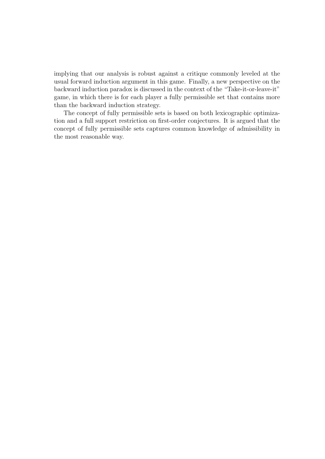implying that our analysis is robust against a critique commonly leveled at the usual forward induction argument in this game. Finally, a new perspective on the backward induction paradox is discussed in the context of the "Take-it-or-leave-it" game, in which there is for each player a fully permissible set that contains more than the backward induction strategy.

The concept of fully permissible sets is based on both lexicographic optimization and a full support restriction on first-order conjectures. It is argued that the concept of fully permissible sets captures common knowledge of admissibility in the most reasonable way.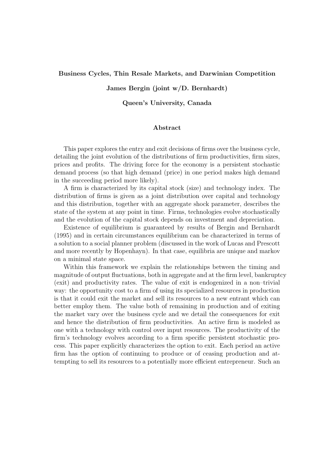### Business Cycles, Thin Resale Markets, and Darwinian Competition

#### James Bergin (joint w/D. Bernhardt)

#### Queen's University, Canada

### Abstract

This paper explores the entry and exit decisions of firms over the business cycle, detailing the joint evolution of the distributions of firm productivities, firm sizes, prices and profits. The driving force for the economy is a persistent stochastic demand process (so that high demand (price) in one period makes high demand in the succeeding period more likely).

A firm is characterized by its capital stock (size) and technology index. The distribution of firms is given as a joint distribution over capital and technology and this distribution, together with an aggregate shock parameter, describes the state of the system at any point in time. Firms, technologies evolve stochastically and the evolution of the capital stock depends on investment and depreciation.

Existence of equilibrium is guaranteed by results of Bergin and Bernhardt (1995) and in certain circumstances equilibrium can be characterized in terms of a solution to a social planner problem (discussed in the work of Lucas and Prescott and more recently by Hopenhayn). In that case, equilibria are unique and markov on a minimal state space.

Within this framework we explain the relationships between the timing and magnitude of output fluctuations, both in aggregate and at the firm level, bankruptcy (exit) and productivity rates. The value of exit is endogenized in a non–trivial way: the opportunity cost to a firm of using its specialized resources in production is that it could exit the market and sell its resources to a new entrant which can better employ them. The value both of remaining in production and of exiting the market vary over the business cycle and we detail the consequences for exit and hence the distribution of firm productivities. An active firm is modeled as one with a technology with control over input resources. The productivity of the firm's technology evolves according to a firm specific persistent stochastic process. This paper explicitly characterizes the option to exit. Each period an active firm has the option of continuing to produce or of ceasing production and attempting to sell its resources to a potentially more efficient entrepreneur. Such an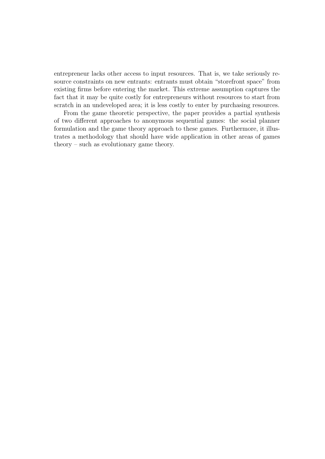entrepreneur lacks other access to input resources. That is, we take seriously resource constraints on new entrants: entrants must obtain "storefront space" from existing firms before entering the market. This extreme assumption captures the fact that it may be quite costly for entrepreneurs without resources to start from scratch in an undeveloped area; it is less costly to enter by purchasing resources.

From the game theoretic perspective, the paper provides a partial synthesis of two different approaches to anonymous sequential games: the social planner formulation and the game theory approach to these games. Furthermore, it illustrates a methodology that should have wide application in other areas of games theory – such as evolutionary game theory.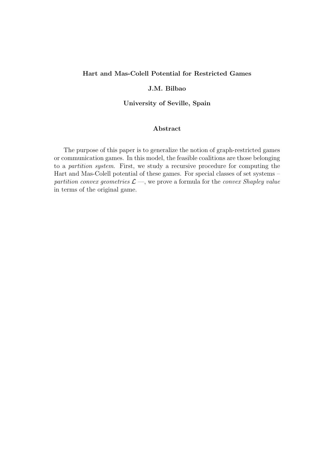# Hart and Mas-Colell Potential for Restricted Games

# J.M. Bilbao

University of Seville, Spain

# Abstract

The purpose of this paper is to generalize the notion of graph-restricted games or communication games. In this model, the feasible coalitions are those belonging to a partition system. First, we study a recursive procedure for computing the Hart and Mas-Colell potential of these games. For special classes of set systems – partition convex geometries  $\mathcal{L}$  —, we prove a formula for the convex Shapley value in terms of the original game.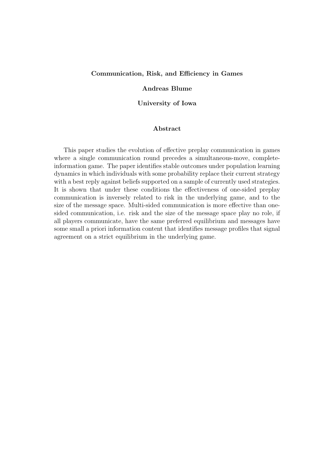#### Communication, Risk, and Efficiency in Games

#### Andreas Blume

#### University of Iowa

### Abstract

This paper studies the evolution of effective preplay communication in games where a single communication round precedes a simultaneous-move, completeinformation game. The paper identifies stable outcomes under population learning dynamics in which individuals with some probability replace their current strategy with a best reply against beliefs supported on a sample of currently used strategies. It is shown that under these conditions the effectiveness of one-sided preplay communication is inversely related to risk in the underlying game, and to the size of the message space. Multi-sided communication is more effective than onesided communication, i.e. risk and the size of the message space play no role, if all players communicate, have the same preferred equilibrium and messages have some small a priori information content that identifies message profiles that signal agreement on a strict equilibrium in the underlying game.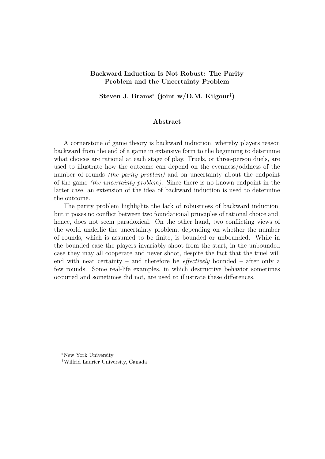# Backward Induction Is Not Robust: The Parity Problem and the Uncertainty Problem

Steven J. Brams<sup>∗</sup> (joint w/D.M. Kilgour† )

# Abstract

A cornerstone of game theory is backward induction, whereby players reason backward from the end of a game in extensive form to the beginning to determine what choices are rational at each stage of play. Truels, or three-person duels, are used to illustrate how the outcome can depend on the evenness/oddness of the number of rounds *(the parity problem)* and on uncertainty about the endpoint of the game (the uncertainty problem). Since there is no known endpoint in the latter case, an extension of the idea of backward induction is used to determine the outcome.

The parity problem highlights the lack of robustness of backward induction, but it poses no conflict between two foundational principles of rational choice and, hence, does not seem paradoxical. On the other hand, two conflicting views of the world underlie the uncertainty problem, depending on whether the number of rounds, which is assumed to be finite, is bounded or unbounded. While in the bounded case the players invariably shoot from the start, in the unbounded case they may all cooperate and never shoot, despite the fact that the truel will end with near certainty – and therefore be *effectively* bounded – after only a few rounds. Some real-life examples, in which destructive behavior sometimes occurred and sometimes did not, are used to illustrate these differences.

<sup>∗</sup>New York University

<sup>†</sup>Wilfrid Laurier University, Canada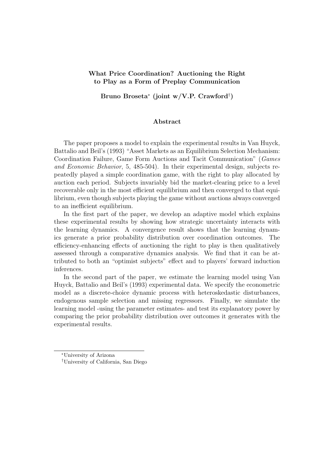# What Price Coordination? Auctioning the Right to Play as a Form of Preplay Communication

Bruno Broseta<sup>∗</sup> (joint w/V.P. Crawford† )

#### Abstract

The paper proposes a model to explain the experimental results in Van Huyck, Battalio and Beil's (1993) "Asset Markets as an Equilibrium Selection Mechanism: Coordination Failure, Game Form Auctions and Tacit Communication" (Games and Economic Behavior, 5, 485-504). In their experimental design, subjects repeatedly played a simple coordination game, with the right to play allocated by auction each period. Subjects invariably bid the market-clearing price to a level recoverable only in the most efficient equilibrium and then converged to that equilibrium, even though subjects playing the game without auctions always converged to an inefficient equilibrium.

In the first part of the paper, we develop an adaptive model which explains these experimental results by showing how strategic uncertainty interacts with the learning dynamics. A convergence result shows that the learning dynamics generate a prior probability distribution over coordination outcomes. The efficiency-enhancing effects of auctioning the right to play is then qualitatively assessed through a comparative dynamics analysis. We find that it can be attributed to both an "optimist subjects" effect and to players' forward induction inferences.

In the second part of the paper, we estimate the learning model using Van Huyck, Battalio and Beil's (1993) experimental data. We specify the econometric model as a discrete-choice dynamic process with heteroskedastic disturbances, endogenous sample selection and missing regressors. Finally, we simulate the learning model -using the parameter estimates- and test its explanatory power by comparing the prior probability distribution over outcomes it generates with the experimental results.

<sup>∗</sup>University of Arizona

<sup>†</sup>University of California, San Diego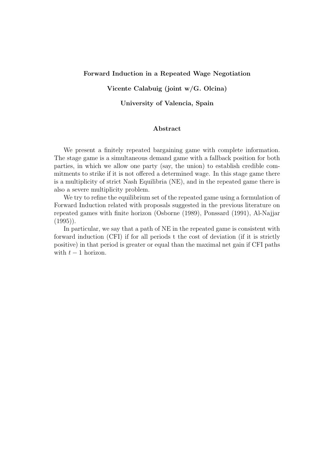### Forward Induction in a Repeated Wage Negotiation

### Vicente Calabuig (joint w/G. Olcina)

University of Valencia, Spain

# Abstract

We present a finitely repeated bargaining game with complete information. The stage game is a simultaneous demand game with a fallback position for both parties, in which we allow one party (say, the union) to establish credible commitments to strike if it is not offered a determined wage. In this stage game there is a multiplicity of strict Nash Equilibria (NE), and in the repeated game there is also a severe multiplicity problem.

We try to refine the equilibrium set of the repeated game using a formulation of Forward Induction related with proposals suggested in the previous literature on repeated games with finite horizon (Osborne (1989), Ponssard (1991), Al-Najjar  $(1995)$ .

In particular, we say that a path of NE in the repeated game is consistent with forward induction (CFI) if for all periods t the cost of deviation (if it is strictly positive) in that period is greater or equal than the maximal net gain if CFI paths with  $t - 1$  horizon.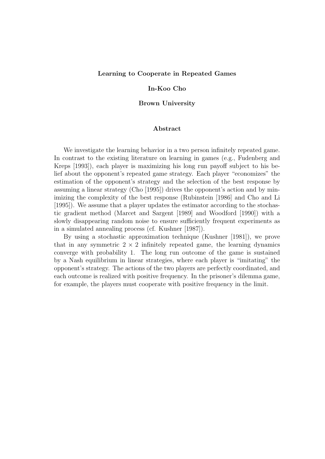#### Learning to Cooperate in Repeated Games

#### In-Koo Cho

#### Brown University

### Abstract

We investigate the learning behavior in a two person infinitely repeated game. In contrast to the existing literature on learning in games (e.g., Fudenberg and Kreps [1993]), each player is maximizing his long run payoff subject to his belief about the opponent's repeated game strategy. Each player "economizes" the estimation of the opponent's strategy and the selection of the best response by assuming a linear strategy (Cho [1995]) drives the opponent's action and by minimizing the complexity of the best response (Rubinstein [1986] and Cho and Li [1995]). We assume that a player updates the estimator according to the stochastic gradient method (Marcet and Sargent [1989] and Woodford [1990]) with a slowly disappearing random noise to ensure sufficiently frequent experiments as in a simulated annealing process (cf. Kushner [1987]).

By using a stochastic approximation technique (Kushner [1981]), we prove that in any symmetric  $2 \times 2$  infinitely repeated game, the learning dynamics converge with probability 1. The long run outcome of the game is sustained by a Nash equilibrium in linear strategies, where each player is "imitating" the opponent's strategy. The actions of the two players are perfectly coordinated, and each outcome is realized with positive frequency. In the prisoner's dilemma game, for example, the players must cooperate with positive frequency in the limit.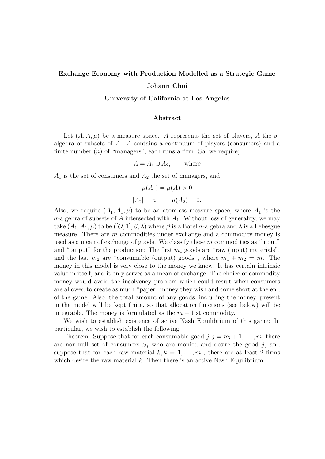# Exchange Economy with Production Modelled as a Strategic Game

# Johann Choi

# University of California at Los Angeles

### Abstract

Let  $(A, A, \mu)$  be a measure space. A represents the set of players, A the  $\sigma$ algebra of subsets of A. A contains a continuum of players (consumers) and a finite number  $(n)$  of "managers", each runs a firm. So, we require;

$$
A = A_1 \cup A_2, \qquad \text{where}
$$

 $A_1$  is the set of consumers and  $A_2$  the set of managers, and

$$
\mu(A_1) = \mu(A) > 0
$$
  

$$
|A_2| = n, \qquad \mu(A_2) = 0.
$$

Also, we require  $(A_1, A_1, \mu)$  to be an atomless measure space, where  $A_1$  is the  $\sigma$ -algebra of subsets of A intersected with  $A_1$ . Without loss of generality, we may take  $(A_1, A_1, \mu)$  to be  $([O, 1], \beta, \lambda)$  where  $\beta$  is a Borel  $\sigma$ -algebra and  $\lambda$  is a Lebesgue measure. There are m commodities under exchange and a commodity money is used as a mean of exchange of goods. We classify these m commodities as "input" and "output" for the production: The first  $m_1$  goods are "raw (input) materials", and the last  $m_2$  are "consumable (output) goods", where  $m_1 + m_2 = m$ . The money in this model is very close to the money we know: It has certain intrinsic value in itself, and it only serves as a mean of exchange. The choice of commodity money would avoid the insolvency problem which could result when consumers are allowed to create as much "paper" money they wish and come short at the end of the game. Also, the total amount of any goods, including the money, present in the model will be kept finite, so that allocation functions (see below) will be integrable. The money is formulated as the  $m+1$  st commodity.

We wish to establish existence of active Nash Equilibrium of this game: In particular, we wish to establish the following

Theorem: Suppose that for each consumable good  $j, j = m_l + 1, \ldots, m$ , there are non-null set of consumers  $S_i$  who are monied and desire the good j, and suppose that for each raw material  $k, k = 1, \ldots, m_1$ , there are at least 2 firms which desire the raw material  $k$ . Then there is an active Nash Equilibrium.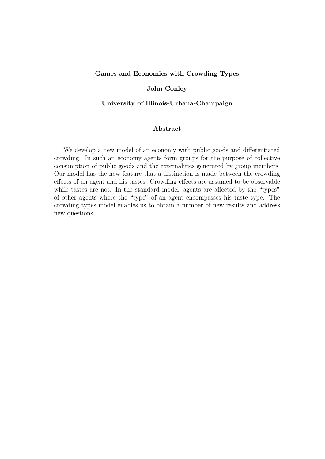### Games and Economies with Crowding Types

### John Conley

### University of Illinois-Urbana-Champaign

# Abstract

We develop a new model of an economy with public goods and differentiated crowding. In such an economy agents form groups for the purpose of collective consumption of public goods and the externalities generated by group members. Our model has the new feature that a distinction is made between the crowding effects of an agent and his tastes. Crowding effects are assumed to be observable while tastes are not. In the standard model, agents are affected by the "types" of other agents where the "type" of an agent encompasses his taste type. The crowding types model enables us to obtain a number of new results and address new questions.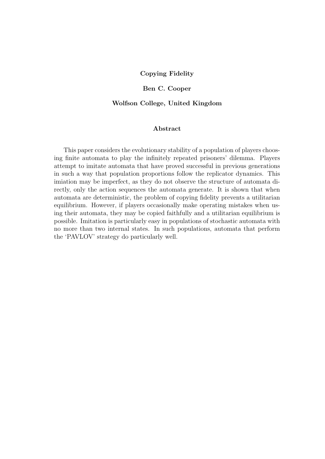### Copying Fidelity

# Ben C. Cooper

#### Wolfson College, United Kingdom

# Abstract

This paper considers the evolutionary stability of a population of players choosing finite automata to play the infinitely repeated prisoners' dilemma. Players attempt to imitate automata that have proved successful in previous generations in such a way that population proportions follow the replicator dynamics. This imiation may be imperfect, as they do not observe the structure of automata directly, only the action sequences the automata generate. It is shown that when automata are deterministic, the problem of copying fidelity prevents a utilitarian equilibrium. However, if players occasionally make operating mistakes when using their automata, they may be copied faithfully and a utilitarian equilibrium is possible. Imitation is particularly easy in populations of stochastic automata with no more than two internal states. In such populations, automata that perform the 'PAVLOV' strategy do particularly well.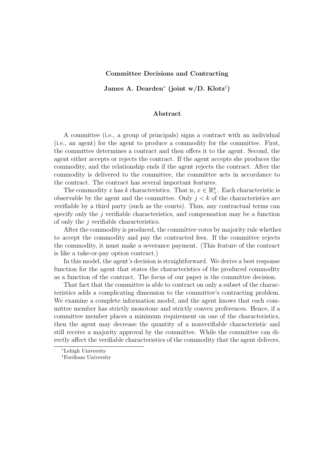#### Committee Decisions and Contracting

James A. Dearden<sup>∗</sup> (joint w/D. Klotz† )

#### Abstract

A committee (i.e., a group of principals) signs a contract with an individual (i.e., an agent) for the agent to produce a commodity for the committee. First, the committee determines a contract and then offers it to the agent. Second, the agent either accepts or rejects the contract. If the agent accepts she produces the commodity, and the relationship ends if the agent rejects the contract. After the commodity is delivered to the committee, the committee acts in accordance to the contract. The contract has several important features.

The commodity x has k characteristics. That is,  $x \in \mathbb{R}_+^k$ . Each characteristic is observable by the agent and the committee. Only  $j < k$  of the characteristics are verifiable by a third party (such as the courts). Thus, any contractual terms can specify only the j verifiable characteristics, and compensation may be a function of only the  $j$  verifiable characteristics.

After the commodity is produced, the committee votes by majority rule whether to accept the commodity and pay the contracted fees. If the committee rejects the commodity, it must make a severance payment. (This feature of the contract is like a take-or-pay option contract.)

In this model, the agent's decision is straightforward. We derive a best response function for the agent that states the characteristics of the produced commodity as a function of the contract. The focus of our paper is the committee decision.

That fact that the committee is able to contract on only a subset of the characteristics adds a complicating dimension to the committee's contracting problem. We examine a complete information model, and the agent knows that each committee member has strictly monotone and strictly convex preferences. Hence, if a committee member places a minimum requirement on one of the characteristics, then the agent may decrease the quantity of a nonverifiable characteristic and still receive a majority approval by the committee. While the committee can directly affect the verifiable characteristics of the commodity that the agent delivers,

<sup>∗</sup>Lehigh University

<sup>†</sup>Fordham University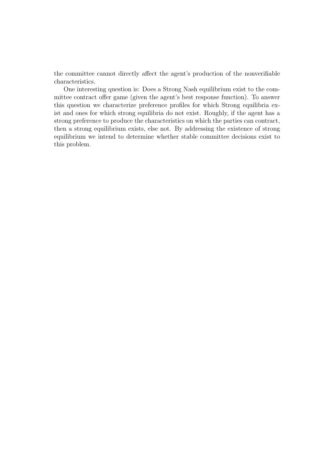the committee cannot directly affect the agent's production of the nonverifiable characteristics.

One interesting question is: Does a Strong Nash equilibrium exist to the committee contract offer game (given the agent's best response function). To answer this question we characterize preference profiles for which Strong equilibria exist and ones for which strong equilibria do not exist. Roughly, if the agent has a strong preference to produce the characteristics on which the parties can contract, then a strong equilibrium exists, else not. By addressing the existence of strong equilibrium we intend to determine whether stable committee decisions exist to this problem.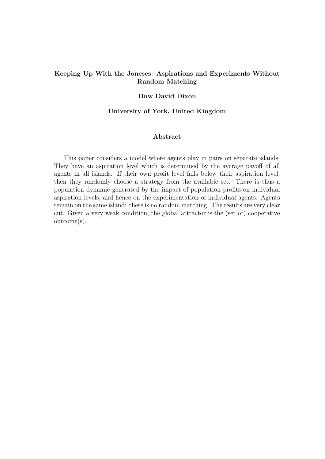# Keeping Up With the Joneses: Aspirations and Experiments Without Random Matching

# Huw David Dixon

### University of York, United Kingdom

### Abstract

This paper considers a model where agents play in pairs on separate islands. They have an aspiration level which is determined by the average payoff of all agents in all islands. If their own profit level falls below their aspiration level, then they randomly choose a strategy from the available set. There is thus a population dynamic generated by the impact of population profits on individual aspiration levels, and hence on the experimentation of individual agents. Agents remain on the same island: there is no random matching. The results are very clear cut. Given a very weak condition, the global attractor is the (set of) cooperative outcome(s).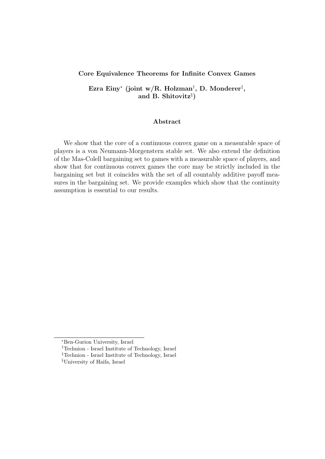### Core Equivalence Theorems for Infinite Convex Games

Ezra Einy<sup>∗</sup> (joint w/R. Holzman† , D. Monderer‡ , and B. Shitovitz§ )

# Abstract

We show that the core of a continuous convex game on a measurable space of players is a von Neumann-Morgenstern stable set. We also extend the definition of the Mas-Colell bargaining set to games with a measurable space of players, and show that for continuous convex games the core may be strictly included in the bargaining set but it coincides with the set of all countably additive payoff measures in the bargaining set. We provide examples which show that the continuity assumption is essential to our results.

<sup>∗</sup>Ben-Gurion University, Israel

<sup>†</sup>Technion - Israel Institute of Technology, Israel

<sup>‡</sup>Technion - Israel Institute of Technology, Israel

<sup>§</sup>University of Haifa, Israel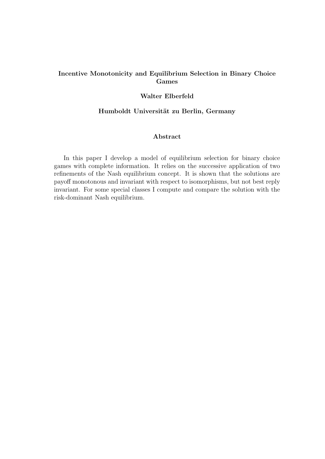# Incentive Monotonicity and Equilibrium Selection in Binary Choice Games

# Walter Elberfeld

# Humboldt Universität zu Berlin, Germany

# Abstract

In this paper I develop a model of equilibrium selection for binary choice games with complete information. It relies on the successive application of two refinements of the Nash equilibrium concept. It is shown that the solutions are payoff monotonous and invariant with respect to isomorphisms, but not best reply invariant. For some special classes I compute and compare the solution with the risk-dominant Nash equilibrium.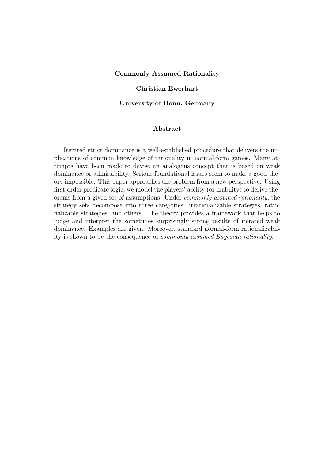#### Commonly Assumed Rationality

### Christian Ewerhart

University of Bonn, Germany

# Abstract

Iterated strict dominance is a well-established procedure that delivers the implications of common knowledge of rationality in normal-form games. Many attempts have been made to devise an analogous concept that is based on weak dominance or admissibility. Serious foundational issues seem to make a good theory impossible. This paper approaches the problem from a new perspective. Using first-order predicate logic, we model the players' ability (or inability) to derive theorems from a given set of assumptions. Under commonly assumed rationality, the strategy sets decompose into three categories: irrationalizable strategies, rationalizable strategies, and others. The theory provides a framework that helps to judge and interpret the sometimes surprisingly strong results of iterated weak dominance. Examples are given. Moreover, standard normal-form rationalizability is shown to be the consequence of commonly assumed Bayesian rationality.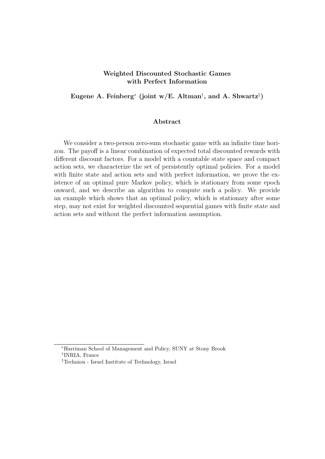# Weighted Discounted Stochastic Games with Perfect Information

Eugene A. Feinberg<sup>\*</sup> (joint w/E. Altman<sup>†</sup>, and A. Shwartz<sup>‡</sup>)

### Abstract

We consider a two-person zero-sum stochastic game with an infinite time horizon. The payoff is a linear combination of expected total discounted rewards with different discount factors. For a model with a countable state space and compact action sets, we characterize the set of persistently optimal policies. For a model with finite state and action sets and with perfect information, we prove the existence of an optimal pure Markov policy, which is stationary from some epoch onward, and we describe an algorithm to compute such a policy. We provide an example which shows that an optimal policy, which is stationary after some step, may not exist for weighted discounted sequential games with finite state and action sets and without the perfect information assumption.

<sup>∗</sup>Harriman School of Management and Policy, SUNY at Stony Brook † INRIA, France

<sup>‡</sup>Technion - Israel Institute of Technology, Israel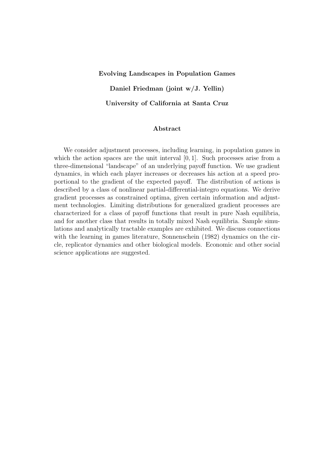#### Evolving Landscapes in Population Games

Daniel Friedman (joint w/J. Yellin)

University of California at Santa Cruz

# Abstract

We consider adjustment processes, including learning, in population games in which the action spaces are the unit interval  $[0, 1]$ . Such processes arise from a three-dimensional "landscape" of an underlying payoff function. We use gradient dynamics, in which each player increases or decreases his action at a speed proportional to the gradient of the expected payoff. The distribution of actions is described by a class of nonlinear partial-differential-integro equations. We derive gradient processes as constrained optima, given certain information and adjustment technologies. Limiting distributions for generalized gradient processes are characterized for a class of payoff functions that result in pure Nash equilibria, and for another class that results in totally mixed Nash equilibria. Sample simulations and analytically tractable examples are exhibited. We discuss connections with the learning in games literature, Sonnenschein (1982) dynamics on the circle, replicator dynamics and other biological models. Economic and other social science applications are suggested.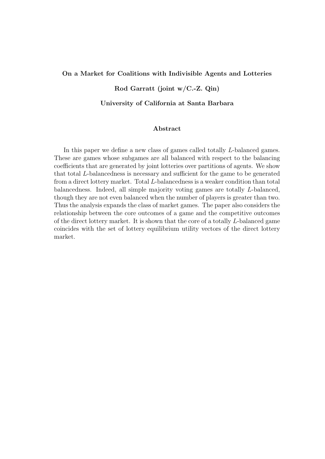#### On a Market for Coalitions with Indivisible Agents and Lotteries

# Rod Garratt (joint w/C.-Z. Qin)

#### University of California at Santa Barbara

# Abstract

In this paper we define a new class of games called totally L-balanced games. These are games whose subgames are all balanced with respect to the balancing coefficients that are generated by joint lotteries over partitions of agents. We show that total L-balancedness is necessary and sufficient for the game to be generated from a direct lottery market. Total L-balancedness is a weaker condition than total balancedness. Indeed, all simple majority voting games are totally L-balanced, though they are not even balanced when the number of players is greater than two. Thus the analysis expands the class of market games. The paper also considers the relationship between the core outcomes of a game and the competitive outcomes of the direct lottery market. It is shown that the core of a totally L-balanced game coincides with the set of lottery equilibrium utility vectors of the direct lottery market.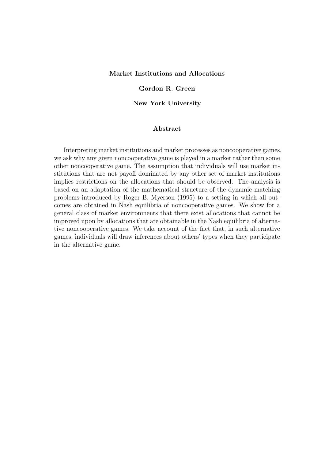# Market Institutions and Allocations

#### Gordon R. Green

New York University

# Abstract

Interpreting market institutions and market processes as noncooperative games, we ask why any given noncooperative game is played in a market rather than some other noncooperative game. The assumption that individuals will use market institutions that are not payoff dominated by any other set of market institutions implies restrictions on the allocations that should be observed. The analysis is based on an adaptation of the mathematical structure of the dynamic matching problems introduced by Roger B. Myerson (1995) to a setting in which all outcomes are obtained in Nash equilibria of noncooperative games. We show for a general class of market environments that there exist allocations that cannot be improved upon by allocations that are obtainable in the Nash equilibria of alternative noncooperative games. We take account of the fact that, in such alternative games, individuals will draw inferences about others' types when they participate in the alternative game.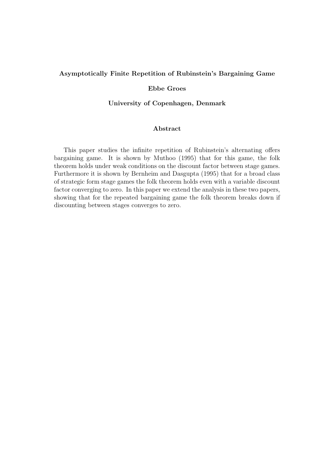# Asymptotically Finite Repetition of Rubinstein's Bargaining Game

# Ebbe Groes

### University of Copenhagen, Denmark

# Abstract

This paper studies the infinite repetition of Rubinstein's alternating offers bargaining game. It is shown by Muthoo (1995) that for this game, the folk theorem holds under weak conditions on the discount factor between stage games. Furthermore it is shown by Bernheim and Dasgupta (1995) that for a broad class of strategic form stage games the folk theorem holds even with a variable discount factor converging to zero. In this paper we extend the analysis in these two papers, showing that for the repeated bargaining game the folk theorem breaks down if discounting between stages converges to zero.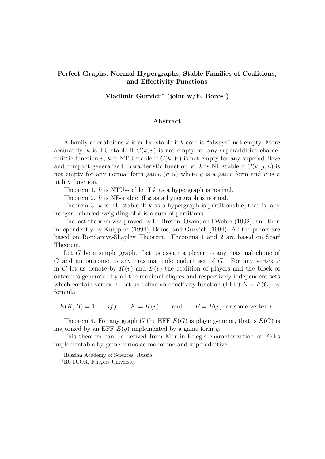# Perfect Graphs, Normal Hypergraphs, Stable Families of Coalitions, and Effectivity Functions

Vladimir Gurvich<sup>∗</sup> (joint w/E. Boros† )

#### Abstract

A family of coalitions  $k$  is called stable if  $k$ -core is "always" not empty. More accurately, k is TU-stable if  $C(k, v)$  is not empty for any superadditive characteristic function v; k is NTU-stable if  $C(k, V)$  is not empty for any superadditive and compact generalized characteristic function V; k is NF-stable if  $C(k, q, u)$  is not empty for any normal form game  $(g, u)$  where g is a game form and u is a utility function.

Theorem 1.  $k$  is NTU-stable iff  $k$  as a hypergraph is normal.

Theorem 2.  $k$  is NF-stable iff  $k$  as a hypergraph is normal.

Theorem 3. k is TU-stable iff k as a hypergraph is partitionable, that is, any integer balanced weighting of  $k$  is a sum of partitions.

The last theorem was proved by Le Breton, Owen, and Weber (1992), and then independently by Kuippers (1994), Boros, and Gurvich (1994). All the proofs are based on Bondareva-Shapley Theorem. Theorems 1 and 2 are based on Scarf Theorem.

Let  $G$  be a simple graph. Let us assign a player to any maximal clique of  $G$  and an outcome to any maximal independent set of  $G$ . For any vertex  $v$ in G let us denote by  $K(v)$  and  $B(v)$  the coalition of players and the block of outcomes generated by all the maximal cliques and respectively independent sets which contain vertex v. Let us define an effectivity function (EFF)  $E = E(G)$  by formula

 $E(K, B) = 1$  if  $K = K(v)$  and  $B = B(v)$  for some vertex v.

Theorem 4. For any graph G the EFF  $E(G)$  is playing-minor, that is  $E(G)$  is majorized by an EFF  $E(g)$  implemented by a game form g.

This theorem can be derived from Moulin-Peleg's characterization of EFFs implementable by game forms as monotone and superadditive.

<sup>∗</sup>Russian Academy of Sciences, Russia

<sup>†</sup>RUTCOR, Rutgers University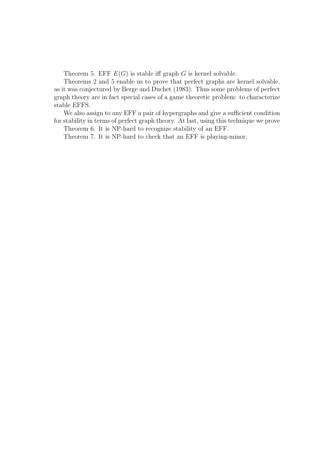Theorem 5. EFF  $E(G)$  is stable iff graph G is kernel solvable.

Theorems 2 and 5 enable us to prove that perfect graphs are kernel solvable, as it was conjectured by Berge and Duchet (1983). Thus some problems of perfect graph theory are in fact special cases of a game theoretic problem: to characterize stable EFFS.

We also assign to any EFF a pair of hypergraphs and give a sufficient condition for stability in terms of perfect graph theory. At last, using this technique we prove

Theorem 6. It is NP-hard to recognize stability of an EFF.

Theorem 7. It is NP-hard to check that an EFF is playing-minor.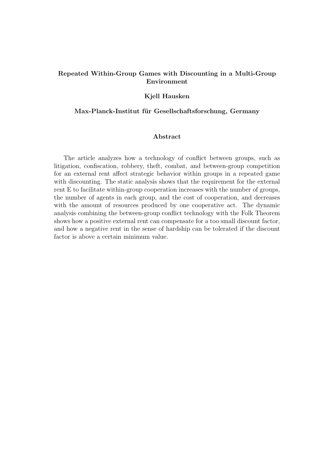# Repeated Within-Group Games with Discounting in a Multi-Group Environment

### Kjell Hausken

## Max-Planck-Institut für Gesellschaftsforschung, Germany

### Abstract

The article analyzes how a technology of conflict between groups, such as litigation, confiscation, robbery, theft, combat, and between-group competition for an external rent affect strategic behavior within groups in a repeated game with discounting. The static analysis shows that the requirement for the external rent E to facilitate within-group cooperation increases with the number of groups, the number of agents in each group, and the cost of cooperation, and decreases with the amount of resources produced by one cooperative act. The dynamic analysis combining the between-group conflict technology with the Folk Theorem shows how a positive external rent can compensate for a too small discount factor, and how a negative rent in the sense of hardship can be tolerated if the discount factor is above a certain minimum value.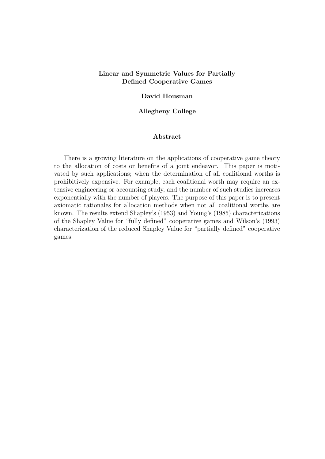# Linear and Symmetric Values for Partially Defined Cooperative Games

### David Housman

# Allegheny College

### Abstract

There is a growing literature on the applications of cooperative game theory to the allocation of costs or benefits of a joint endeavor. This paper is motivated by such applications; when the determination of all coalitional worths is prohibitively expensive. For example, each coalitional worth may require an extensive engineering or accounting study, and the number of such studies increases exponentially with the number of players. The purpose of this paper is to present axiomatic rationales for allocation methods when not all coalitional worths are known. The results extend Shapley's (1953) and Young's (1985) characterizations of the Shapley Value for "fully defined" cooperative games and Wilson's (1993) characterization of the reduced Shapley Value for "partially defined" cooperative games.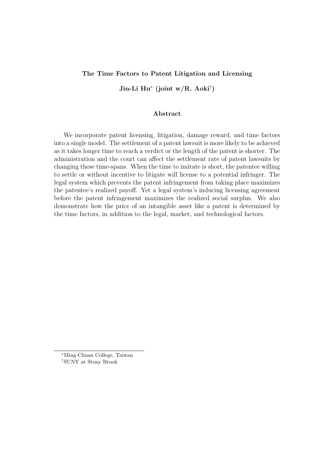### The Time Factors to Patent Litigation and Licensing

Jin-Li Hu<sup>∗</sup> (joint w/R. Aoki† )

### Abstract

We incorporate patent licensing, litigation, damage reward, and time factors into a single model. The settlement of a patent lawsuit is more likely to be achieved as it takes longer time to reach a verdict or the length of the patent is shorter. The administration and the court can affect the settlement rate of patent lawsuits by changing these time-spans. When the time to imitate is short, the patentee willing to settle or without incentive to litigate will license to a potential infringer. The legal system which prevents the patent infringement from taking place maximizes the patentee's realized payoff. Yet a legal system's inducing licensing agreement before the patent infringement maximizes the realized social surplus. We also demonstrate how the price of an intangible asset like a patent is determined by the time factors, in addition to the legal, market, and technological factors.

<sup>∗</sup>Ming-Chuan College, Taiwan †SUNY at Stony Brook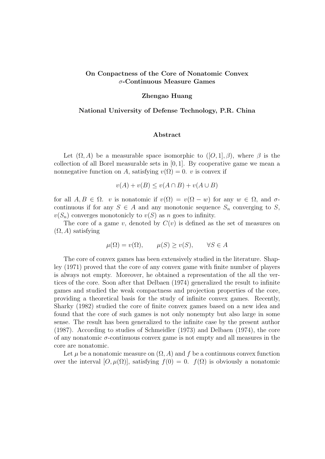# On Conpactness of the Core of Nonatomic Convex σ-Continuous Measure Games

### Zhengao Huang

# National University of Defense Technology, P.R. China

## Abstract

Let  $(\Omega, A)$  be a measurable space isomorphic to  $([O, 1], \beta)$ , where  $\beta$  is the collection of all Borel measurable sets in [0, 1]. By cooperative game we mean a nonnegative function on A, satisfying  $v(\Omega) = 0$ . v is convex if

$$
v(A) + v(B) \le v(A \cap B) + v(A \cup B)
$$

for all  $A, B \in \Omega$ , v is nonatomic if  $v(\Omega) = v(\Omega - w)$  for any  $w \in \Omega$ , and  $\sigma$ continuous if for any  $S \in A$  and any monotonic sequence  $S_n$  converging to S,  $v(S_n)$  converges monotonicly to  $v(S)$  as n goes to infinity.

The core of a game v, denoted by  $C(v)$  is defined as the set of measures on  $(\Omega, A)$  satisfying

$$
\mu(\Omega) = v(\Omega), \qquad \mu(S) \ge v(S), \qquad \forall S \in A
$$

The core of convex games has been extensively studied in the literature. Shapley (1971) proved that the core of any convex game with finite number of players is always not empty. Moreover, he obtained a representation of the all the vertices of the core. Soon after that Delbaen (1974) generalized the result to infinite games and studied the weak compactness and projection properties of the core, providing a theoretical basis for the study of infinite convex games. Recently, Sharky (1982) studied the core of finite convex games based on a new idea and found that the core of such games is not only nonempty but also large in some sense. The result has been generalized to the infinite case by the present author (1987). According to studies of Schmeidler (1973) and Delbaen (1974), the core of any nonatomic  $\sigma$ -continuous convex game is not empty and all measures in the core are nonatomic.

Let  $\mu$  be a nonatomic measure on  $(\Omega, A)$  and f be a continuous convex function over the interval  $[O, \mu(\Omega)]$ , satisfying  $f(0) = 0$ .  $f(\Omega)$  is obviously a nonatomic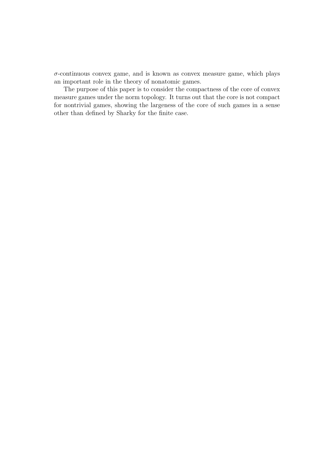$\sigma$ -continuous convex game, and is known as convex measure game, which plays an important role in the theory of nonatomic games.

The purpose of this paper is to consider the compactness of the core of convex measure games under the norm topology. It turns out that the core is not compact for nontrivial games, showing the largeness of the core of such games in a sense other than defined by Sharky for the finite case.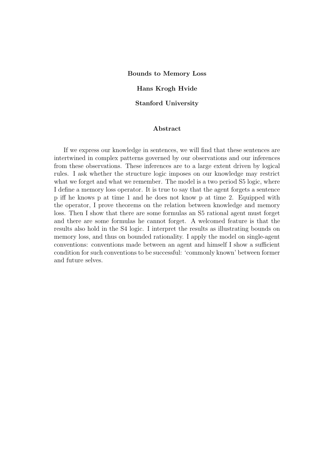Bounds to Memory Loss

### Hans Krogh Hvide

Stanford University

# Abstract

If we express our knowledge in sentences, we will find that these sentences are intertwined in complex patterns governed by our observations and our inferences from these observations. These inferences are to a large extent driven by logical rules. I ask whether the structure logic imposes on our knowledge may restrict what we forget and what we remember. The model is a two period  $S5$  logic, where I define a memory loss operator. It is true to say that the agent forgets a sentence p iff he knows p at time 1 and he does not know p at time 2. Equipped with the operator, I prove theorems on the relation between knowledge and memory loss. Then I show that there are some formulas an S5 rational agent must forget and there are some formulas he cannot forget. A welcomed feature is that the results also hold in the S4 logic. I interpret the results as illustrating bounds on memory loss, and thus on bounded rationality. I apply the model on single-agent conventions: conventions made between an agent and himself I show a sufficient condition for such conventions to be successful: 'commonly known' between former and future selves.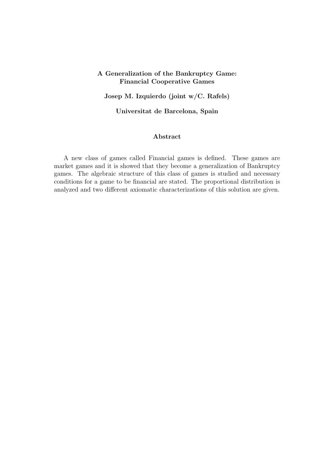# A Generalization of the Bankruptcy Game: Financial Cooperative Games

# Josep M. Izquierdo (joint w/C. Rafels)

# Universitat de Barcelona, Spain

# Abstract

A new class of games called Financial games is defined. These games are market games and it is showed that they become a generalization of Bankruptcy games. The algebraic structure of this class of games is studied and necessary conditions for a game to be financial are stated. The proportional distribution is analyzed and two different axiomatic characterizations of this solution are given.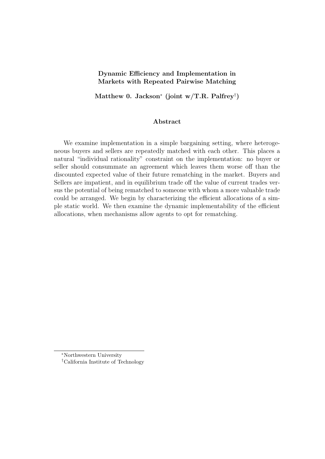# Dynamic Efficiency and Implementation in Markets with Repeated Pairwise Matching

Matthew 0. Jackson<sup>\*</sup> (joint w/T.R. Palfrey<sup>†</sup>)

# Abstract

We examine implementation in a simple bargaining setting, where heterogeneous buyers and sellers are repeatedly matched with each other. This places a natural "individual rationality" constraint on the implementation: no buyer or seller should consummate an agreement which leaves them worse off than the discounted expected value of their future rematching in the market. Buyers and Sellers are impatient, and in equilibrium trade off the value of current trades versus the potential of being rematched to someone with whom a more valuable trade could be arranged. We begin by characterizing the efficient allocations of a simple static world. We then examine the dynamic implementability of the efficient allocations, when mechanisms allow agents to opt for rematching.

<sup>∗</sup>Northwestern University

<sup>†</sup>California Institute of Technology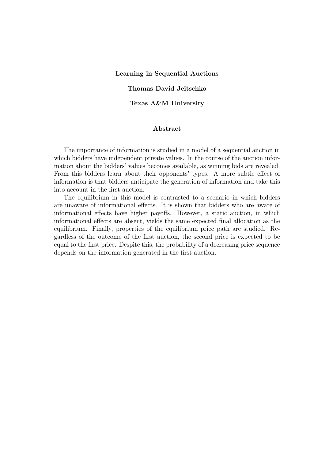### Learning in Sequential Auctions

# Thomas David Jeitschko

Texas A&M University

# Abstract

The importance of information is studied in a model of a sequential auction in which bidders have independent private values. In the course of the auction information about the bidders' values becomes available, as winning bids are revealed. From this bidders learn about their opponents' types. A more subtle effect of information is that bidders anticipate the generation of information and take this into account in the first auction.

The equilibrium in this model is contrasted to a scenario in which bidders are unaware of informational effects. It is shown that bidders who are aware of informational effects have higher payoffs. However, a static auction, in which informational effects are absent, yields the same expected final allocation as the equilibrium. Finally, properties of the equilibrium price path are studied. Regardless of the outcome of the first auction, the second price is expected to be equal to the first price. Despite this, the probability of a decreasing price sequence depends on the information generated in the first auction.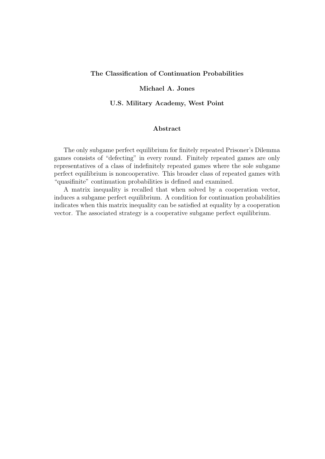# The Classification of Continuation Probabilities

# Michael A. Jones

U.S. Military Academy, West Point

# Abstract

The only subgame perfect equilibrium for finitely repeated Prisoner's Dilemma games consists of "defecting" in every round. Finitely repeated games are only representatives of a class of indefinitely repeated games where the sole subgame perfect equilibrium is noncooperative. This broader class of repeated games with "quasifinite" continuation probabilities is defined and examined.

A matrix inequality is recalled that when solved by a cooperation vector, induces a subgame perfect equilibrium. A condition for continuation probabilities indicates when this matrix inequality can be satisfied at equality by a cooperation vector. The associated strategy is a cooperative subgame perfect equilibrium.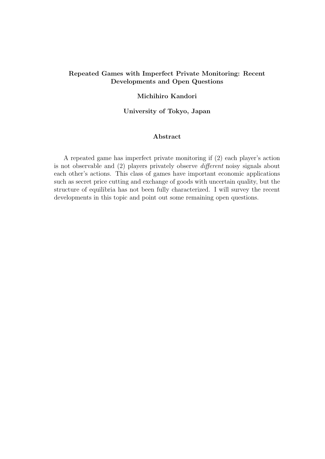# Repeated Games with Imperfect Private Monitoring: Recent Developments and Open Questions

# Michihiro Kandori

## University of Tokyo, Japan

# Abstract

A repeated game has imperfect private monitoring if (2) each player's action is not observable and (2) players privately observe different noisy signals about each other's actions. This class of games have important economic applications such as secret price cutting and exchange of goods with uncertain quality, but the structure of equilibria has not been fully characterized. I will survey the recent developments in this topic and point out some remaining open questions.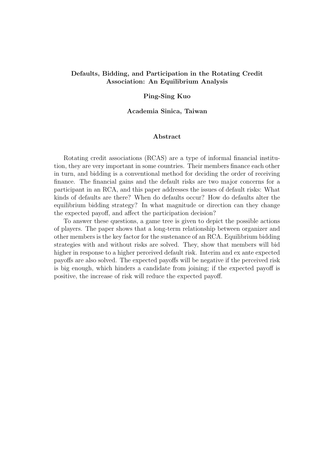# Defaults, Bidding, and Participation in the Rotating Credit Association: An Equilibrium Analysis

### Ping-Sing Kuo

### Academia Sinica, Taiwan

# Abstract

Rotating credit associations (RCAS) are a type of informal financial institution, they are very important in some countries. Their members finance each other in turn, and bidding is a conventional method for deciding the order of receiving finance. The financial gains and the default risks are two major concerns for a participant in an RCA, and this paper addresses the issues of default risks: What kinds of defaults are there? When do defaults occur? How do defaults alter the equilibrium bidding strategy? In what magnitude or direction can they change the expected payoff, and affect the participation decision?

To answer these questions, a game tree is given to depict the possible actions of players. The paper shows that a long-term relationship between organizer and other members is the key factor for the sustenance of an RCA. Equilibrium bidding strategies with and without risks are solved. They, show that members will bid higher in response to a higher perceived default risk. Interim and ex ante expected payoffs are also solved. The expected payoffs will be negative if the perceived risk is big enough, which hinders a candidate from joining; if the expected payoff is positive, the increase of risk will reduce the expected payoff.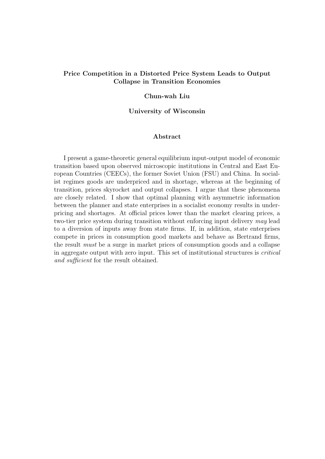# Price Competition in a Distorted Price System Leads to Output Collapse in Transition Economies

### Chun-wah Liu

## University of Wisconsin

### Abstract

I present a game-theoretic general equilibrium input-output model of economic transition based upon observed microscopic institutions in Central and East European Countries (CEECs), the former Soviet Union (FSU) and China. In socialist regimes goods are underpriced and in shortage, whereas at the beginning of transition, prices skyrocket and output collapses. I argue that these phenomena are closely related. I show that optimal planning with asymmetric information between the planner and state enterprises in a socialist economy results in underpricing and shortages. At official prices lower than the market clearing prices, a two-tier price system during transition without enforcing input delivery may lead to a diversion of inputs away from state firms. If, in addition, state enterprises compete in prices in consumption good markets and behave as Bertrand firms, the result must be a surge in market prices of consumption goods and a collapse in aggregate output with zero input. This set of institutional structures is critical and sufficient for the result obtained.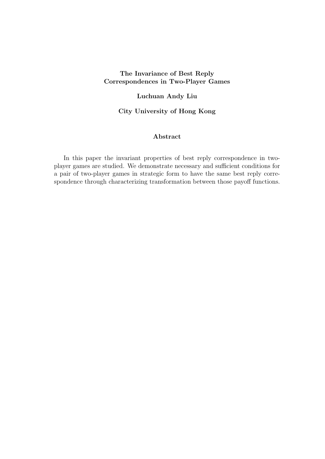# The Invariance of Best Reply Correspondences in Two-Player Games

# Luchuan Andy Liu

# City University of Hong Kong

# Abstract

In this paper the invariant properties of best reply correspondence in twoplayer games are studied. We demonstrate necessary and sufficient conditions for a pair of two-player games in strategic form to have the same best reply correspondence through characterizing transformation between those payoff functions.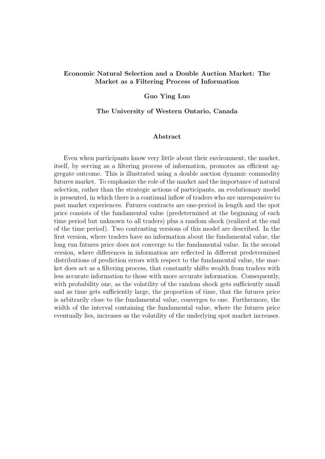# Economic Natural Selection and a Double Auction Market: The Market as a Filtering Process of Information

### Guo Ying Luo

#### The University of Western Ontario, Canada

# Abstract

Even when participants know very little about their environment, the market, itself, by serving as a filtering process of information, promotes an efficient aggregate outcome. This is illustrated using a double auction dynamic commodity futures market. To emphasize the role of the market and the importance of natural selection, rather than the strategic actions of participants, an evolutionary model is presented, in which there is a continual inflow of traders who are unresponsive to past market experiences. Futures contracts are one-period in length and the spot price consists of the fundamental value (predetermined at the beginning of each time period but unknown to all traders) plus a random shock (realized at the end of the time period). Two contrasting versions of this model are described. In the first version, where traders have no information about the fundamental value, the long run futures price does not converge to the fundamental value. In the second version, where differences in information are reflected in different predetermined distributions of prediction errors with respect to the fundamental value, the market does act as a filtering process, that constantly shifts wealth from traders with less accurate information to those with more accurate information. Consequently, with probability one, as the volatility of the random shock gets sufficiently small and as time gets sufficiently large, the proportion of time, that the futures price is arbitrarily close to the fundamental value, converges to one. Furthermore, the width of the interval containing the fundamental value, where the futures price eventually lies, increases as the volatility of the underlying spot market increases.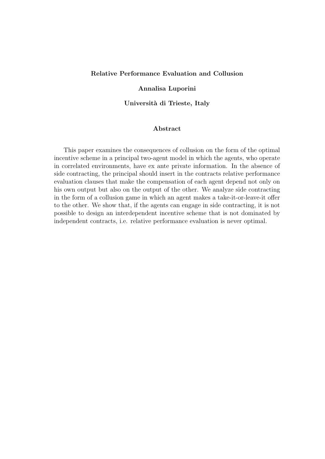# Relative Performance Evaluation and Collusion

# Annalisa Luporini

Universit`a di Trieste, Italy

# Abstract

This paper examines the consequences of collusion on the form of the optimal incentive scheme in a principal two-agent model in which the agents, who operate in correlated environments, have ex ante private information. In the absence of side contracting, the principal should insert in the contracts relative performance evaluation clauses that make the compensation of each agent depend not only on his own output but also on the output of the other. We analyze side contracting in the form of a collusion game in which an agent makes a take-it-or-leave-it offer to the other. We show that, if the agents can engage in side contracting, it is not possible to design an interdependent incentive scheme that is not dominated by independent contracts, i.e. relative performance evaluation is never optimal.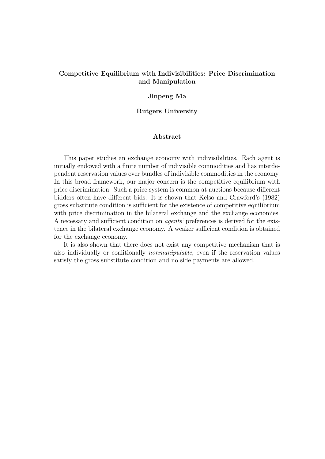# Competitive Equilibrium with Indivisibilities: Price Discrimination and Manipulation

### Jinpeng Ma

# Rutgers University

# Abstract

This paper studies an exchange economy with indivisibilities. Each agent is initially endowed with a finite number of indivisible commodities and has interdependent reservation values over bundles of indivisible commodities in the economy. In this broad framework, our major concern is the competitive equilibrium with price discrimination. Such a price system is common at auctions because different bidders often have different bids. It is shown that Kelso and Crawford's (1982) gross substitute condition is sufficient for the existence of competitive equilibrium with price discrimination in the bilateral exchange and the exchange economies. A necessary and sufficient condition on agents' preferences is derived for the existence in the bilateral exchange economy. A weaker sufficient condition is obtained for the exchange economy.

It is also shown that there does not exist any competitive mechanism that is also individually or coalitionally nonmanipulable, even if the reservation values satisfy the gross substitute condition and no side payments are allowed.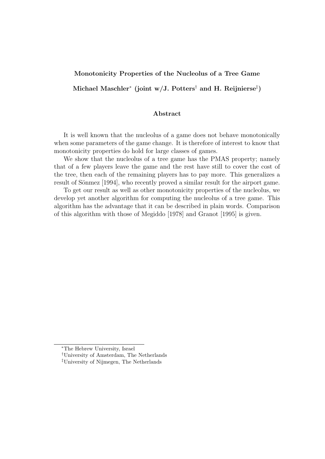# Monotonicity Properties of the Nucleolus of a Tree Game

Michael Maschler\* (joint w/J. Potters<sup>†</sup> and H. Reijnierse<sup>‡</sup>)

# Abstract

It is well known that the nucleolus of a game does not behave monotonically when some parameters of the game change. It is therefore of interest to know that monotonicity properties do hold for large classes of games.

We show that the nucleolus of a tree game has the PMAS property; namely that of a few players leave the game and the rest have still to cover the cost of the tree, then each of the remaining players has to pay more. This generalizes a result of Sönmez [1994], who recently proved a similar result for the airport game.

To get our result as well as other monotonicity properties of the nucleolus, we develop yet another algorithm for computing the nucleolus of a tree game. This algorithm has the advantage that it can be described in plain words. Comparison of this algorithm with those of Megiddo [1978] and Granot [1995] is given.

<sup>∗</sup>The Hebrew University, Israel

<sup>†</sup>University of Amsterdam, The Netherlands

<sup>‡</sup>University of Nijmegen, The Netherlands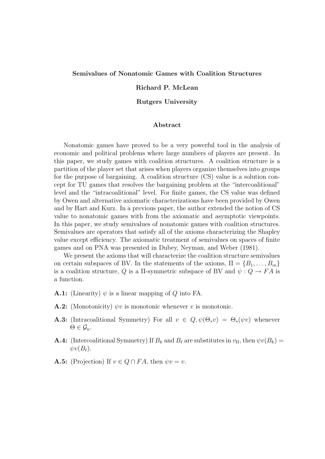### Semivalues of Nonatomic Games with Coalition Structures

# Richard P. McLean

### Rutgers University

### Abstract

Nonatomic games have proved to be a very powerful tool in the analysis of economic and political problems where large numbers of players are present. In this paper, we study games with coalition structures. A coalition structure is a partition of the player set that arises when players organize themselves into groups for the purpose of bargaining. A coalition structure (CS) value is a solution concept for TU games that resolves the bargaining problem at the "intercoalitional" level and the "intracoalitional" level. For finite games, the CS value was defined by Owen and alternative axiomatic characterizations have been provided by Owen and by Hart and Kurz. In a previous paper, the author extended the notion of CS value to nonatomic games with from the axiomatic and asymptotic viewpoints. In this paper, we study semivalues of nonatomic games with coalition structures. Semivalues are operators that satisfy all of the axioms characterizing the Shapley value except efficiency. The axiomatic treatment of semivalues on spaces of finite games and on PNA was presented in Dubey, Neyman, and Weber (1981).

We present the axioms that will characterize the coalition structure semivalues on certain subspaces of BV. In the statements of the axioms,  $\Pi = \{B_1, \ldots, B_m\}$ is a coalition structure, Q is a  $\Pi$ -symmetric subspace of BV and  $\psi: Q \to FA$  is a function.

- **A.1:** (Linearity)  $\psi$  is a linear mapping of Q into FA.
- **A.2:** (Monotonicity)  $\psi v$  is monotonic whenever v is monotonic.
- **A.3:** (Intracoalitional Symmetry) For all  $v \in Q$ ,  $\psi(\Theta_*v) = \Theta_*(\psi v)$  whenever  $\Theta \in \mathcal{G}_n$ .
- **A.4:** (Intercoalitional Symmetry) If  $B_k$  and  $B_\ell$  are substitutes in  $v_{\text{II}}$ , then  $\psi v(B_k) =$  $\psi v(B_\ell)$ .
- **A.5:** (Projection) If  $v \in Q \cap FA$ , then  $\psi v = v$ .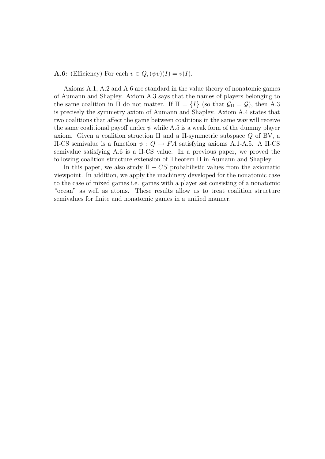**A.6:** (Efficiency) For each  $v \in Q$ ,  $(\psi v)(I) = v(I)$ .

Axioms A.1, A.2 and A.6 are standard in the value theory of nonatomic games of Aumann and Shapley. Axiom A.3 says that the names of players belonging to the same coalition in Π do not matter. If  $\Pi = \{I\}$  (so that  $\mathcal{G}_{\Pi} = \mathcal{G}$ ), then A.3 is precisely the symmetry axiom of Aumann and Shapley. Axiom A.4 states that two coalitions that affect the game between coalitions in the same way will receive the same coalitional payoff under  $\psi$  while A.5 is a weak form of the dummy player axiom. Given a coalition struction  $\Pi$  and a  $\Pi$ -symmetric subspace  $Q$  of BV, a  $\Pi$ -CS semivalue is a function  $ψ$  :  $Q$  →  $FA$  satisfying axioms A.1-A.5. A  $\Pi$ -CS semivalue satisfying A.6 is a Π-CS value. In a previous paper, we proved the following coalition structure extension of Theorem H in Aumann and Shapley.

In this paper, we also study  $\Pi - CS$  probabilistic values from the axiomatic viewpoint. In addition, we apply the machinery developed for the nonatomic case to the case of mixed games i.e. games with a player set consisting of a nonatomic "ocean" as well as atoms. These results allow us to treat coalition structure semivalues for finite and nonatomic games in a unified manner.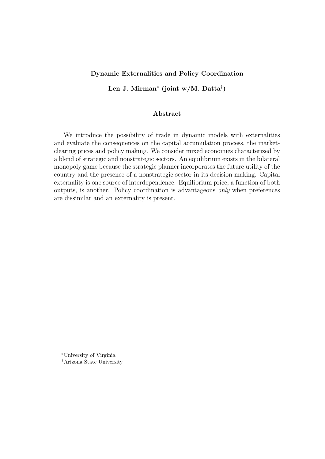# Dynamic Externalities and Policy Coordination

Len J. Mirman<sup>∗</sup> (joint w/M. Datta† )

# Abstract

We introduce the possibility of trade in dynamic models with externalities and evaluate the consequences on the capital accumulation process, the marketclearing prices and policy making. We consider mixed economies characterized by a blend of strategic and nonstrategic sectors. An equilibrium exists in the bilateral monopoly game because the strategic planner incorporates the future utility of the country and the presence of a nonstrategic sector in its decision making. Capital externality is one source of interdependence. Equilibrium price, a function of both outputs, is another. Policy coordination is advantageous only when preferences are dissimilar and an externality is present.

<sup>∗</sup>University of Virginia

<sup>†</sup>Arizona State University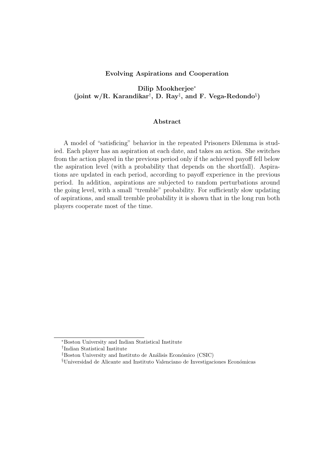### Evolving Aspirations and Cooperation

Dilip Mookherjee<sup>∗</sup> (joint w/R. Karandikar<sup>†</sup>, D. Ray<sup>‡</sup>, and F. Vega-Redondo<sup>§</sup>)

# Abstract

A model of "satisficing" behavior in the repeated Prisoners Dilemma is studied. Each player has an aspiration at each date, and takes an action. She switches from the action played in the previous period only if the achieved payoff fell below the aspiration level (with a probability that depends on the shortfall). Aspirations are updated in each period, according to payoff experience in the previous period. In addition, aspirations are subjected to random perturbations around the going level, with a small "tremble" probability. For sufficiently slow updating of aspirations, and small tremble probability it is shown that in the long run both players cooperate most of the time.

<sup>∗</sup>Boston University and Indian Statistical Institute

<sup>†</sup> Indian Statistical Institute

 ${}$ <sup>‡</sup>Boston University and Instituto de Análisis Económico (CSIC)

 $§$ Universidad de Alicante and Instituto Valenciano de Investigaciones Económicas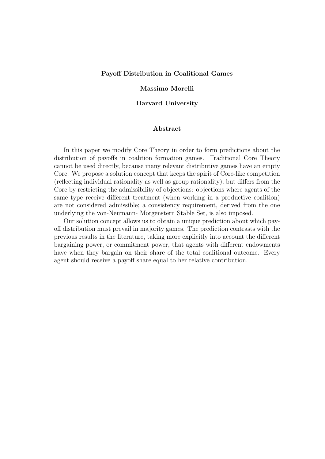### Payoff Distribution in Coalitional Games

# Massimo Morelli

### Harvard University

# Abstract

In this paper we modify Core Theory in order to form predictions about the distribution of payoffs in coalition formation games. Traditional Core Theory cannot be used directly, because many relevant distributive games have an empty Core. We propose a solution concept that keeps the spirit of Core-like competition (reflecting individual rationality as well as group rationality), but differs from the Core by restricting the admissibility of objections: objections where agents of the same type receive different treatment (when working in a productive coalition) are not considered admissible; a consistency requirement, derived from the one underlying the von-Neumann- Morgenstern Stable Set, is also imposed.

Our solution concept allows us to obtain a unique prediction about which payoff distribution must prevail in majority games. The prediction contrasts with the previous results in the literature, taking more explicitly into account the different bargaining power, or commitment power, that agents with different endowments have when they bargain on their share of the total coalitional outcome. Every agent should receive a payoff share equal to her relative contribution.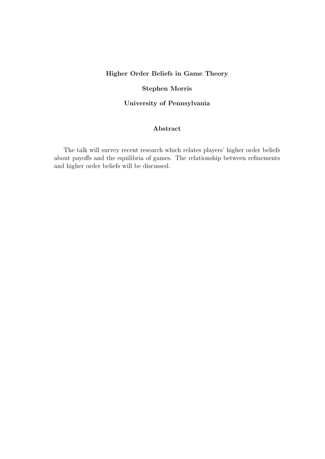# Higher Order Beliefs in Game Theory

# Stephen Morris

# University of Pennsylvania

# Abstract

The talk will survey recent research which relates players' higher order beliefs about payoffs and the equilibria of games. The relationship between refinements and higher order beliefs will be discussed.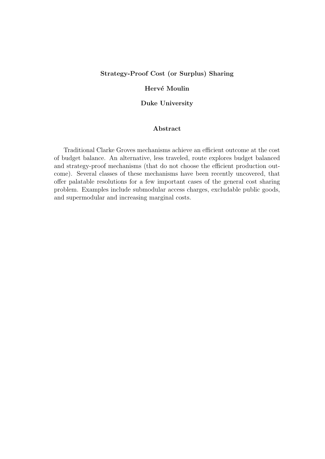# Strategy-Proof Cost (or Surplus) Sharing

# Hervé Moulin

## Duke University

# Abstract

Traditional Clarke Groves mechanisms achieve an efficient outcome at the cost of budget balance. An alternative, less traveled, route explores budget balanced and strategy-proof mechanisms (that do not choose the efficient production outcome). Several classes of these mechanisms have been recently uncovered, that offer palatable resolutions for a few important cases of the general cost sharing problem. Examples include submodular access charges, excludable public goods, and supermodular and increasing marginal costs.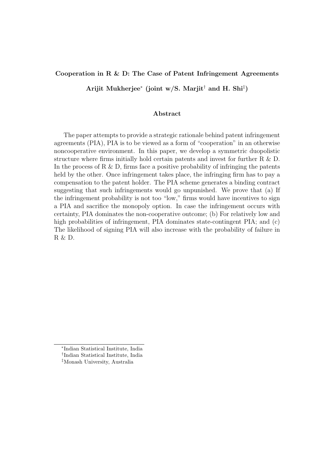# Cooperation in R & D: The Case of Patent Infringement Agreements

Arijit Mukherjee<sup>∗</sup> (joint w/S. Marjit† and H. Shi‡ )

# Abstract

The paper attempts to provide a strategic rationale behind patent infringement agreements (PIA), PIA is to be viewed as a form of "cooperation" in an otherwise noncooperative environment. In this paper, we develop a symmetric duopolistic structure where firms initially hold certain patents and invest for further  $R \& D$ . In the process of R  $\&$  D, firms face a positive probability of infringing the patents held by the other. Once infringement takes place, the infringing firm has to pay a compensation to the patent holder. The PIA scheme generates a binding contract suggesting that such infringements would go unpunished. We prove that (a) If the infringement probability is not too "low," firms would have incentives to sign a PIA and sacrifice the monopoly option. In case the infringement occurs with certainty, PIA dominates the non-cooperative outcome; (b) For relatively low and high probabilities of infringement, PIA dominates state-contingent PIA; and  $(c)$ The likelihood of signing PIA will also increase with the probability of failure in R & D.

<sup>∗</sup> Indian Statistical Institute, India

<sup>†</sup> Indian Statistical Institute, India

<sup>‡</sup>Monash University, Australia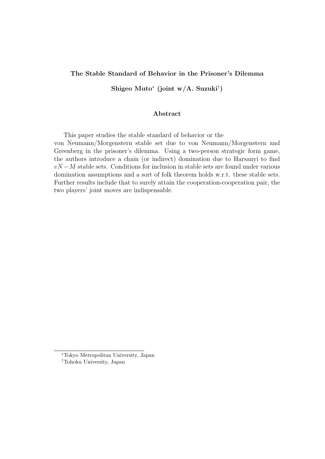# The Stable Standard of Behavior in the Prisoner's Dilemma

Shigeo Muto<sup>∗</sup> (joint w/A. Suzuki† )

### Abstract

This paper studies the stable standard of behavior or the von Neumann/Morgenstern stable set due to von Neumann/Morgenstern and Greenberg in the prisoner's dilemma. Using a two-person strategic form game, the authors introduce a chain (or indirect) domination due to Harsanyi to find  $vN-M$  stable sets. Conditions for inclusion in stable sets are found under various domination assumptions and a sort of folk theorem holds w.r.t. these stable sets. Further results include that to surely attain the cooperation-cooperation pair, the two players' joint moves are indispensable.

<sup>∗</sup>Tokyo Metropolitan University, Japan †Tohoku University, Japan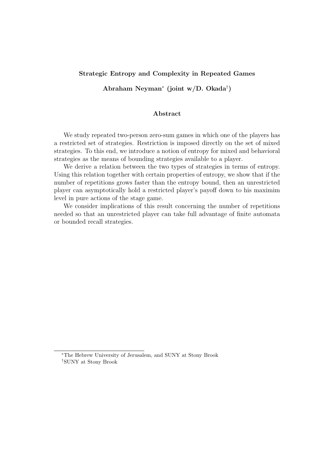### Strategic Entropy and Complexity in Repeated Games

Abraham Neyman<sup>∗</sup> (joint w/D. Okada† )

# Abstract

We study repeated two-person zero-sum games in which one of the players has a restricted set of strategies. Restriction is imposed directly on the set of mixed strategies. To this end, we introduce a notion of entropy for mixed and behavioral strategies as the means of bounding strategies available to a player.

We derive a relation between the two types of strategies in terms of entropy. Using this relation together with certain properties of entropy, we show that if the number of repetitions grows faster than the entropy bound, then an unrestricted player can asymptotically hold a restricted player's payoff down to his maximim level in pure actions of the stage game.

We consider implications of this result concerning the number of repetitions needed so that an unrestricted player can take full advantage of finite automata or bounded recall strategies.

<sup>∗</sup>The Hebrew University of Jerusalem, and SUNY at Stony Brook †SUNY at Stony Brook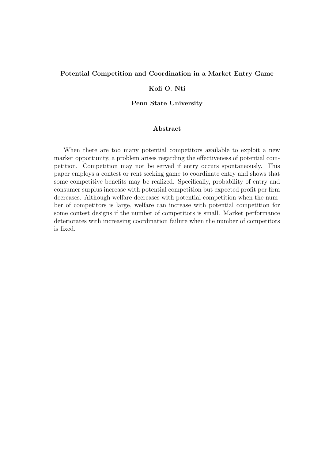# Potential Competition and Coordination in a Market Entry Game

# Kofi O. Nti

# Penn State University

# Abstract

When there are too many potential competitors available to exploit a new market opportunity, a problem arises regarding the effectiveness of potential competition. Competition may not be served if entry occurs spontaneously. This paper employs a contest or rent seeking game to coordinate entry and shows that some competitive benefits may be realized. Specifically, probability of entry and consumer surplus increase with potential competition but expected profit per firm decreases. Although welfare decreases with potential competition when the number of competitors is large, welfare can increase with potential competition for some contest designs if the number of competitors is small. Market performance deteriorates with increasing coordination failure when the number of competitors is fixed.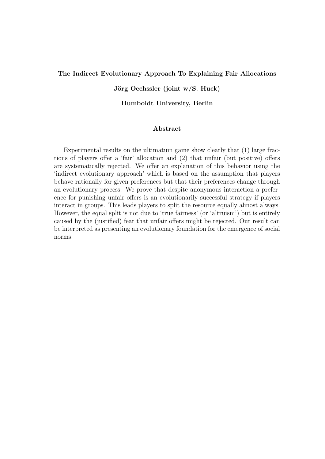### The Indirect Evolutionary Approach To Explaining Fair Allocations

# Jörg Oechssler (joint  $w/S$ . Huck)

Humboldt University, Berlin

# Abstract

Experimental results on the ultimatum game show clearly that (1) large fractions of players offer a 'fair' allocation and (2) that unfair (but positive) offers are systematically rejected. We offer an explanation of this behavior using the 'indirect evolutionary approach' which is based on the assumption that players behave rationally for given preferences but that their preferences change through an evolutionary process. We prove that despite anonymous interaction a preference for punishing unfair offers is an evolutionarily successful strategy if players interact in groups. This leads players to split the resource equally almost always. However, the equal split is not due to 'true fairness' (or 'altruism') but is entirely caused by the (justified) fear that unfair offers might be rejected. Our result can be interpreted as presenting an evolutionary foundation for the emergence of social norms.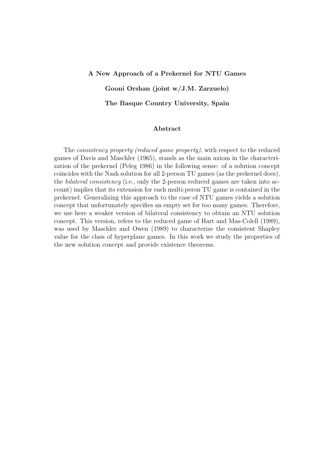# A New Approach of a Prekernel for NTU Games Gooni Orshan (joint w/J.M. Zarzuelo) The Basque Country University, Spain

# Abstract

The consistency property (reduced game property), with respect to the reduced games of Davis and Maschler (1965), stands as the main axiom in the characterization of the prekernel (Peleg 1986) in the following sense: of a solution concept coincides with the Nash solution for all 2-person TU games (as the prekernel does), the bilateral consistency (i.e., only the 2-person reduced games are taken into account) implies that its extension for each multi-peron TU game is contained in the prekernel. Generalizing this approach to the case of NTU games yields a solution concept that unfortunately specifies an empty set for too many games. Therefore, we use here a weaker version of bilateral consistency to obtain an NTU solution concept. This version, refers to the reduced game of Hart and Mas-Colell (1989), was used by Maschler and Owen (1989) to characterize the consistent Shapley value for the class of hyperplane games. In this work we study the properties of the new solution concept and provide existence theorems.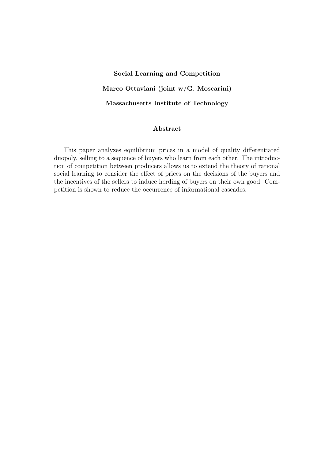# Social Learning and Competition Marco Ottaviani (joint w/G. Moscarini) Massachusetts Institute of Technology

# Abstract

This paper analyzes equilibrium prices in a model of quality differentiated duopoly, selling to a sequence of buyers who learn from each other. The introduction of competition between producers allows us to extend the theory of rational social learning to consider the effect of prices on the decisions of the buyers and the incentives of the sellers to induce herding of buyers on their own good. Competition is shown to reduce the occurrence of informational cascades.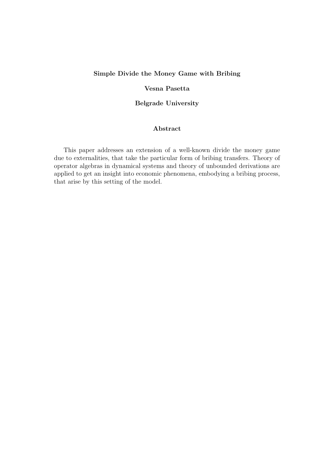# Simple Divide the Money Game with Bribing

# Vesna Pasetta

# Belgrade University

# Abstract

This paper addresses an extension of a well-known divide the money game due to externalities, that take the particular form of bribing transfers. Theory of operator algebras in dynamical systems and theory of unbounded derivations are applied to get an insight into economic phenomena, embodying a bribing process, that arise by this setting of the model.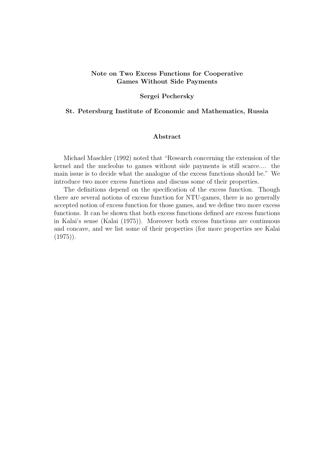# Note on Two Excess Functions for Cooperative Games Without Side Payments

### Sergei Pechersky

# St. Petersburg Institute of Economic and Mathematics, Russia

# Abstract

Michael Maschler (1992) noted that "Research concerning the extension of the kernel and the nucleolus to games without side payments is still scarce.... the main issue is to decide what the analogue of the excess functions should be." We introduce two more excess functions and discuss some of their properties.

The definitions depend on the specification of the excess function. Though there are several notions of excess function for NTU-games, there is no generally accepted notion of excess function for those games, and we define two more excess functions. It can be shown that both excess functions defined are excess functions in Kalai's sense (Kalai (1975)). Moreover both excess functions are continuous and concave, and we list some of their properties (for more properties see Kalai  $(1975)$ .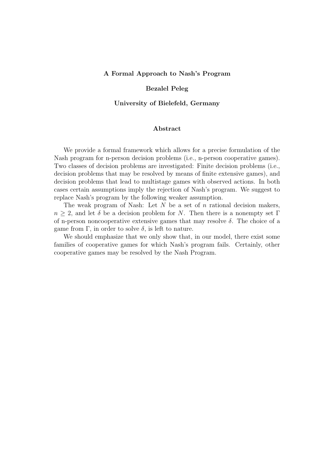### A Formal Approach to Nash's Program

### Bezalel Peleg

#### University of Bielefeld, Germany

# Abstract

We provide a formal framework which allows for a precise formulation of the Nash program for n-person decision problems (i.e., n-person cooperative games). Two classes of decision problems are investigated: Finite decision problems (i.e., decision problems that may be resolved by means of finite extensive games), and decision problems that lead to multistage games with observed actions. In both cases certain assumptions imply the rejection of Nash's program. We suggest to replace Nash's program by the following weaker assumption.

The weak program of Nash: Let  $N$  be a set of  $n$  rational decision makers,  $n \geq 2$ , and let  $\delta$  be a decision problem for N. Then there is a nonempty set Γ of n-person noncooperative extensive games that may resolve  $\delta$ . The choice of a game from  $\Gamma$ , in order to solve  $\delta$ , is left to nature.

We should emphasize that we only show that, in our model, there exist some families of cooperative games for which Nash's program fails. Certainly, other cooperative games may be resolved by the Nash Program.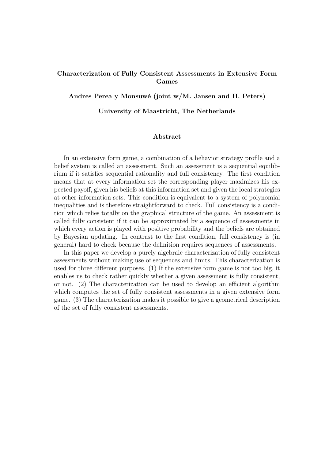# Characterization of Fully Consistent Assessments in Extensive Form Games

Andres Perea y Monsuwé (joint w/M. Jansen and H. Peters)

### University of Maastricht, The Netherlands

### Abstract

In an extensive form game, a combination of a behavior strategy profile and a belief system is called an assessment. Such an assessment is a sequential equilibrium if it satisfies sequential rationality and full consistency. The first condition means that at every information set the corresponding player maximizes his expected payoff, given his beliefs at this information set and given the local strategies at other information sets. This condition is equivalent to a system of polynomial inequalities and is therefore straightforward to check. Full consistency is a condition which relies totally on the graphical structure of the game. An assessment is called fully consistent if it can be approximated by a sequence of assessments in which every action is played with positive probability and the beliefs are obtained by Bayesian updating. In contrast to the first condition, full consistency is (in general) hard to check because the definition requires sequences of assessments.

In this paper we develop a purely algebraic characterization of fully consistent assessments without making use of sequences and limits. This characterization is used for three different purposes. (1) If the extensive form game is not too big, it enables us to check rather quickly whether a given assessment is fully consistent, or not. (2) The characterization can be used to develop an efficient algorithm which computes the set of fully consistent assessments in a given extensive form game. (3) The characterization makes it possible to give a geometrical description of the set of fully consistent assessments.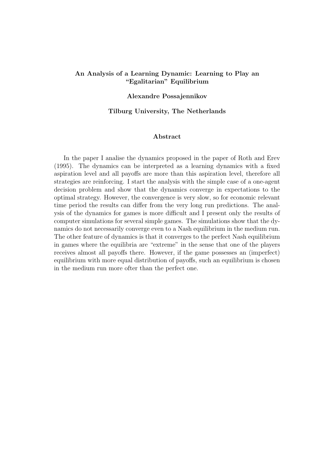# An Analysis of a Learning Dynamic: Learning to Play an "Egalitarian" Equilibrium

### Alexandre Possajennikov

# Tilburg University, The Netherlands

### Abstract

In the paper I analise the dynamics proposed in the paper of Roth and Erev (1995). The dynamics can be interpreted as a learning dynamics with a fixed aspiration level and all payoffs are more than this aspiration level, therefore all strategies are reinforcing. I start the analysis with the simple case of a one-agent decision problem and show that the dynamics converge in expectations to the optimal strategy. However, the convergence is very slow, so for economic relevant time period the results can differ from the very long run predictions. The analysis of the dynamics for games is more difficult and I present only the results of computer simulations for several simple games. The simulations show that the dynamics do not necessarily converge even to a Nash equilibrium in the medium run. The other feature of dynamics is that it converges to the perfect Nash equilibrium in games where the equilibria are "extreme" in the sense that one of the players receives almost all payoffs there. However, if the game possesses an (imperfect) equilibrium with more equal distribution of payoffs, such an equilibrium is chosen in the medium run more ofter than the perfect one.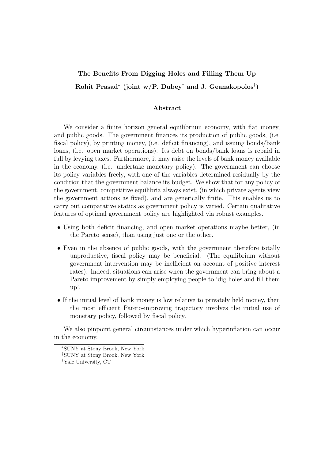# The Benefits From Digging Holes and Filling Them Up Rohit Prasad<sup>∗</sup> (joint w/P. Dubey<sup>†</sup> and J. Geanakopolos<sup>‡</sup>)

# Abstract

We consider a finite horizon general equilibrium economy, with fiat money, and public goods. The government finances its production of public goods, (i.e. fiscal policy), by printing money, (i.e. deficit financing), and issuing bonds/bank loans, (i.e. open market operations). Its debt on bonds/bank loans is repaid in full by levying taxes. Furthermore, it may raise the levels of bank money available in the economy, (i.e. undertake monetary policy). The government can choose its policy variables freely, with one of the variables determined residually by the condition that the government balance its budget. We show that for any policy of the government, competitive equilibria always exist, (in which private agents view the government actions as fixed), and are generically finite. This enables us to carry out comparative statics as government policy is varied. Certain qualitative features of optimal government policy are highlighted via robust examples.

- Using both deficit financing, and open market operations maybe better, (in the Pareto sense), than using just one or the other.
- Even in the absence of public goods, with the government therefore totally unproductive, fiscal policy may be beneficial. (The equilibrium without government intervention may be inefficient on account of positive interest rates). Indeed, situations can arise when the government can bring about a Pareto improvement by simply employing people to 'dig holes and fill them up'.
- If the initial level of bank money is low relative to privately held money, then the most efficient Pareto-improving trajectory involves the initial use of monetary policy, followed by fiscal policy.

We also pinpoint general circumstances under which hyperinflation can occur in the economy.

<sup>∗</sup>SUNY at Stony Brook, New York

<sup>†</sup>SUNY at Stony Brook, New York

<sup>‡</sup>Yale University, CT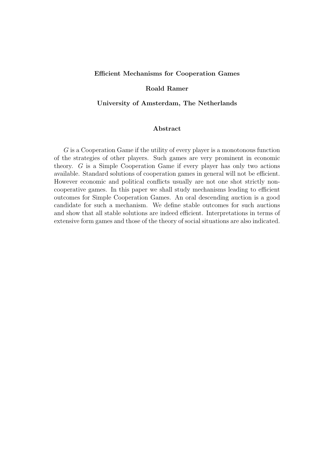### Efficient Mechanisms for Cooperation Games

### Roald Ramer

## University of Amsterdam, The Netherlands

# Abstract

G is a Cooperation Game if the utility of every player is a monotonous function of the strategies of other players. Such games are very prominent in economic theory. G is a Simple Cooperation Game if every player has only two actions available. Standard solutions of cooperation games in general will not be efficient. However economic and political conflicts usually are not one shot strictly noncooperative games. In this paper we shall study mechanisms leading to efficient outcomes for Simple Cooperation Games. An oral descending auction is a good candidate for such a mechanism. We define stable outcomes for such auctions and show that all stable solutions are indeed efficient. Interpretations in terms of extensive form games and those of the theory of social situations are also indicated.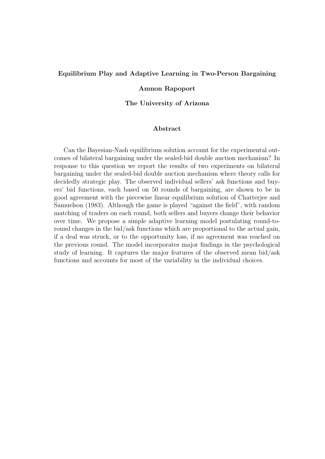### Equilibrium Play and Adaptive Learning in Two-Person Bargaining

#### Amnon Rapoport

The University of Arizona

# Abstract

Can the Bayesian-Nash equilibrium solution account for the experimental outcomes of bilateral bargaining under the sealed-bid double auction mechanism? In response to this question we report the results of two experiments on bilateral bargaining under the sealed-bid double auction mechanism where theory calls for decidedly strategic play. The observed individual sellers' ask functions and buyers' bid functions, each based on 50 rounds of bargaining, are shown to be in good agreement with the piecewise linear equilibrium solution of Chatterjee and Samuelson (1983). Although the game is played "against the field", with random matching of traders on each round, both sellers and buyers change their behavior over time. We propose a simple adaptive learning model postulating round-toround changes in the bid/ask functions which are proportional to the actual gain, if a deal was struck, or to the opportunity loss, if no agreement was reached on the previous round. The model incorporates major findings in the psychological study of learning. It captures the major features of the observed mean bid/ask functions and accounts for most of the variability in the individual choices.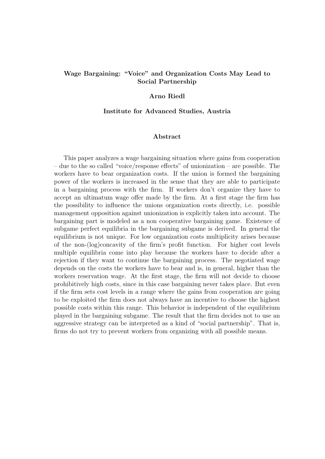# Wage Bargaining: "Voice" and Organization Costs May Lead to Social Partnership

#### Arno Riedl

#### Institute for Advanced Studies, Austria

### Abstract

This paper analyzes a wage bargaining situation where gains from cooperation – due to the so called "voice/response effects" of unionization – are possible. The workers have to bear organization costs. If the union is formed the bargaining power of the workers is increased in the sense that they are able to participate in a bargaining process with the firm. If workers don't organize they have to accept an ultimatum wage offer made by the firm. At a first stage the firm has the possibility to influence the unions organization costs directly, i.e. possible management opposition against unionization is explicitly taken into account. The bargaining part is modeled as a non cooperative bargaining game. Existence of subgame perfect equilibria in the bargaining subgame is derived. In general the equilibrium is not unique. For low organization costs multiplicity arises because of the non-(log)concavity of the firm's profit function. For higher cost levels multiple equilibria come into play because the workers have to decide after a rejection if they want to continue the bargaining process. The negotiated wage depends on the costs the workers have to bear and is, in general, higher than the workers reservation wage. At the first stage, the firm will not decide to choose prohibitively high costs, since in this case bargaining never takes place. But even if the firm sets cost levels in a range where the gains from cooperation are going to be exploited the firm does not always have an incentive to choose the highest possible costs within this range. This behavior is independent of the equilibrium played in the bargaining subgame. The result that the firm decides not to use an aggressive strategy can be interpreted as a kind of "social partnership". That is, firms do not try to prevent workers from organizing with all possible means.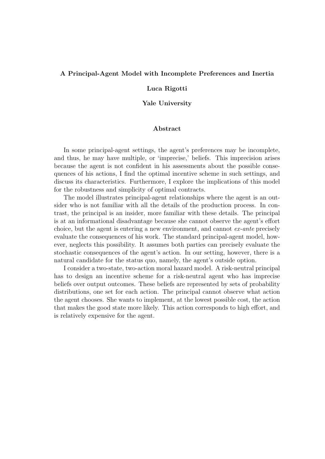#### A Principal-Agent Model with Incomplete Preferences and Inertia

#### Luca Rigotti

#### Yale University

# Abstract

In some principal-agent settings, the agent's preferences may be incomplete, and thus, he may have multiple, or 'imprecise,' beliefs. This imprecision arises because the agent is not confident in his assessments about the possible consequences of his actions, I find the optimal incentive scheme in such settings, and discuss its characteristics. Furthermore, I explore the implications of this model for the robustness and simplicity of optimal contracts.

The model illustrates principal-agent relationships where the agent is an outsider who is not familiar with all the details of the production process. In contrast, the principal is an insider, more familiar with these details. The principal is at an informational disadvantage because she cannot observe the agent's effort choice, but the agent is entering a new environment, and cannot ex-ante precisely evaluate the consequences of his work. The standard principal-agent model, however, neglects this possibility. It assumes both parties can precisely evaluate the stochastic consequences of the agent's action. In our setting, however, there is a natural candidate for the status quo, namely, the agent's outside option.

I consider a two-state, two-action moral hazard model. A risk-neutral principal has to design an incentive scheme for a risk-neutral agent who has imprecise beliefs over output outcomes. These beliefs are represented by sets of probability distributions, one set for each action. The principal cannot observe what action the agent chooses. She wants to implement, at the lowest possible cost, the action that makes the good state more likely. This action corresponds to high effort, and is relatively expensive for the agent.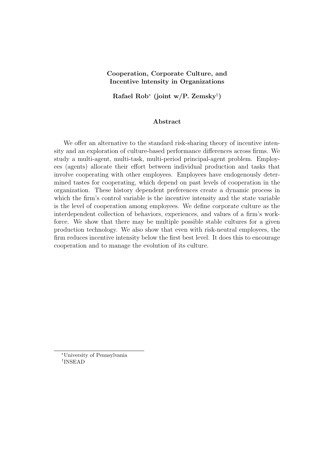# Cooperation, Corporate Culture, and Incentive lntensity in Organizations

Rafael Rob<sup>∗</sup> (joint w/P. Zemsky† )

### Abstract

We offer an alternative to the standard risk-sharing theory of incentive intensity and an exploration of culture-based performance differences across firms. We study a multi-agent, multi-task, multi-period principal-agent problem. Employees (agents) allocate their effort between individual production and tasks that involve cooperating with other employees. Employees have endogenously determined tastes for cooperating, which depend on past levels of cooperation in the organization. These history dependent preferences create a dynamic process in which the firm's control variable is the incentive intensity and the state variable is the level of cooperation among employees. We define corporate culture as the interdependent collection of behaviors, experiences, and values of a firm's workforce. We show that there may be multiple possible stable cultures for a given production technology. We also show that even with risk-neutral employees, the firm reduces incentive intensity below the first best level. It does this to encourage cooperation and to manage the evolution of its culture.

<sup>∗</sup>University of Pennsylvania † INSEAD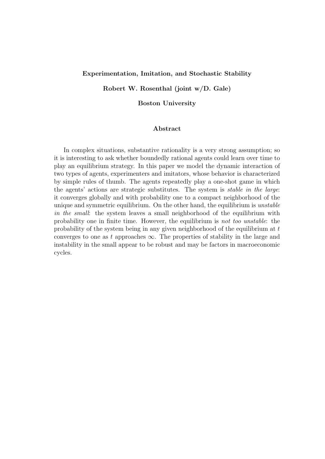### Experimentation, Imitation, and Stochastic Stability

Robert W. Rosenthal (joint w/D. Gale)

Boston University

### Abstract

In complex situations, substantive rationality is a very strong assumption; so it is interesting to ask whether boundedly rational agents could learn over time to play an equilibrium strategy. In this paper we model the dynamic interaction of two types of agents, experimenters and imitators, whose behavior is characterized by simple rules of thumb. The agents repeatedly play a one-shot game in which the agents' actions are strategic substitutes. The system is stable in the large: it converges globally and with probability one to a compact neighborhood of the unique and symmetric equilibrium. On the other hand, the equilibrium is unstable in the small: the system leaves a small neighborhood of the equilibrium with probability one in finite time. However, the equilibrium is not too unstable: the probability of the system being in any given neighborhood of the equilibrium at  $t$ converges to one as t approaches  $\infty$ . The properties of stability in the large and instability in the small appear to be robust and may be factors in macroeconomic cycles.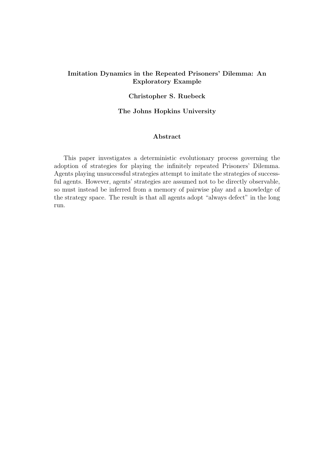# Imitation Dynamics in the Repeated Prisoners' Dilemma: An Exploratory Example

# Christopher S. Ruebeck

### The Johns Hopkins University

# Abstract

This paper investigates a deterministic evolutionary process governing the adoption of strategies for playing the infinitely repeated Prisoners' Dilemma. Agents playing unsuccessful strategies attempt to imitate the strategies of successful agents. However, agents' strategies are assumed not to be directly observable, so must instead be inferred from a memory of pairwise play and a knowledge of the strategy space. The result is that all agents adopt "always defect" in the long run.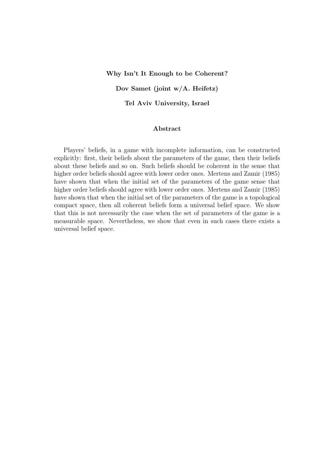#### Why Isn't It Enough to be Coherent?

Dov Samet (joint w/A. Heifetz)

Tel Aviv University, Israel

# Abstract

Players' beliefs, in a game with incomplete information, can be constructed explicitly: first, their beliefs about the parameters of the game, then their beliefs about these beliefs and so on. Such beliefs should be coherent in the sense that higher order beliefs should agree with lower order ones. Mertens and Zamir (1985) have shown that when the initial set of the parameters of the game sense that higher order beliefs should agree with lower order ones. Mertens and Zamir (1985) have shown that when the initial set of the parameters of the game is a topological compact space, then all coherent beliefs form a universal belief space. We show that this is not necessarily the case when the set of parameters of the game is a measurable space. Nevertheless, we show that even in such cases there exists a universal belief space.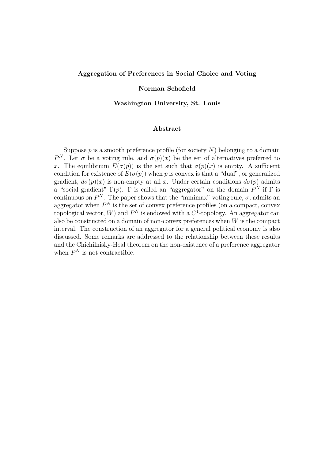### Aggregation of Preferences in Social Choice and Voting

#### Norman Schofield

Washington University, St. Louis

# Abstract

Suppose  $p$  is a smooth preference profile (for society  $N$ ) belonging to a domain P<sup>N</sup>. Let  $\sigma$  be a voting rule, and  $\sigma(p)(x)$  be the set of alternatives preferred to x. The equilibrium  $E(\sigma(p))$  is the set such that  $\sigma(p)(x)$  is empty. A sufficient condition for existence of  $E(\sigma(p))$  when p is convex is that a "dual", or generalized gradient,  $d\sigma(p)(x)$  is non-empty at all x. Under certain conditions  $d\sigma(p)$  admits a "social gradient"  $\Gamma(p)$ .  $\Gamma$  is called an "aggregator" on the domain  $P^N$  if  $\Gamma$  is continuous on  $P^N$ . The paper shows that the "minimax" voting rule,  $\sigma$ , admits an aggregator when  $P<sup>N</sup>$  is the set of convex preference profiles (on a compact, convex topological vector, W) and  $P<sup>N</sup>$  is endowed with a  $C<sup>1</sup>$ -topology. An aggregator can also be constructed on a domain of non-convex preferences when  $W$  is the compact interval. The construction of an aggregator for a general political economy is also discussed. Some remarks are addressed to the relationship between these results and the Chichilnisky-Heal theorem on the non-existence of a preference aggregator when  $P<sup>N</sup>$  is not contractible.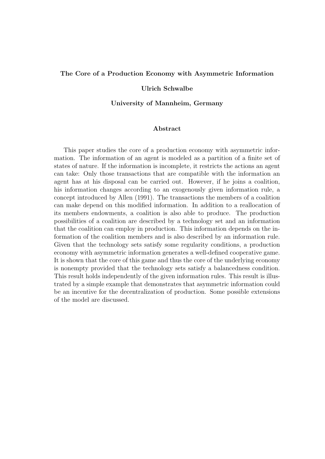#### The Core of a Production Economy with Asymmetric Information

#### Ulrich Schwalbe

#### University of Mannheim, Germany

# Abstract

This paper studies the core of a production economy with asymmetric information. The information of an agent is modeled as a partition of a finite set of states of nature. If the information is incomplete, it restricts the actions an agent can take: Only those transactions that are compatible with the information an agent has at his disposal can be carried out. However, if he joins a coalition, his information changes according to an exogenously given information rule, a concept introduced by Allen (1991). The transactions the members of a coalition can make depend on this modified information. In addition to a reallocation of its members endowments, a coalition is also able to produce. The production possibilities of a coalition are described by a technology set and an information that the coalition can employ in production. This information depends on the information of the coalition members and is also described by an information rule. Given that the technology sets satisfy some regularity conditions, a production economy with asymmetric information generates a well-defined cooperative game. It is shown that the core of this game and thus the core of the underlying economy is nonempty provided that the technology sets satisfy a balancedness condition. This result holds independently of the given information rules. This result is illustrated by a simple example that demonstrates that asymmetric information could be an incentive for the decentralization of production. Some possible extensions of the model are discussed.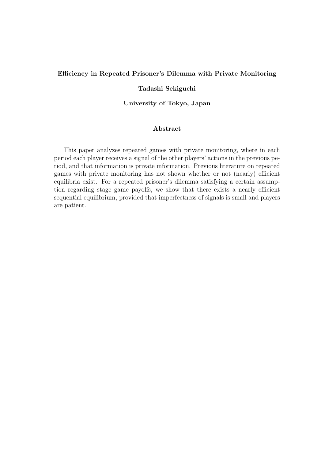# Efficiency in Repeated Prisoner's Dilemma with Private Monitoring

### Tadashi Sekiguchi

University of Tokyo, Japan

# Abstract

This paper analyzes repeated games with private monitoring, where in each period each player receives a signal of the other players' actions in the previous period, and that information is private information. Previous literature on repeated games with private monitoring has not shown whether or not (nearly) efficient equilibria exist. For a repeated prisoner's dilemma satisfying a certain assumption regarding stage game payoffs, we show that there exists a nearly efficient sequential equilibrium, provided that imperfectness of signals is small and players are patient.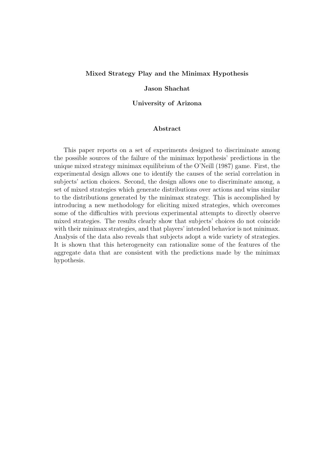#### Mixed Strategy Play and the Minimax Hypothesis

#### Jason Shachat

#### University of Arizona

# Abstract

This paper reports on a set of experiments designed to discriminate among the possible sources of the failure of the minimax hypothesis' predictions in the unique mixed strategy minimax equilibrium of the O'Neill (1987) game. First, the experimental design allows one to identify the causes of the serial correlation in subjects' action choices. Second, the design allows one to discriminate among, a set of mixed strategies which generate distributions over actions and wins similar to the distributions generated by the minimax strategy. This is accomplished by introducing a new methodology for eliciting mixed strategies, which overcomes some of the difficulties with previous experimental attempts to directly observe mixed strategies. The results clearly show that subjects' choices do not coincide with their minimax strategies, and that players' intended behavior is not minimax. Analysis of the data also reveals that subjects adopt a wide variety of strategies. It is shown that this heterogeneity can rationalize some of the features of the aggregate data that are consistent with the predictions made by the minimax hypothesis.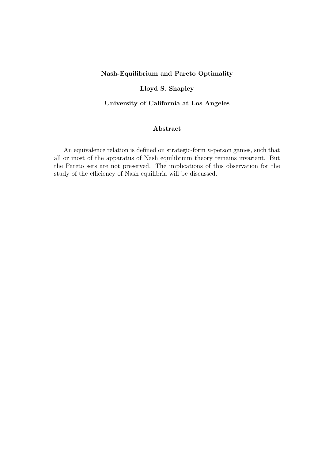# Nash-Equilibrium and Pareto Optimality

# Lloyd S. Shapley

# University of California at Los Angeles

# Abstract

An equivalence relation is defined on strategic-form n-person games, such that all or most of the apparatus of Nash equilibrium theory remains invariant. But the Pareto sets are not preserved. The implications of this observation for the study of the efficiency of Nash equilibria will be discussed.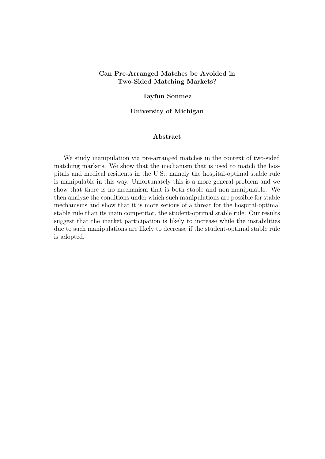# Can Pre-Arranged Matches be Avoided in Two-Sided Matching Markets?

### Tayfun Sonmez

### University of Michigan

#### Abstract

We study manipulation via pre-arranged matches in the context of two-sided matching markets. We show that the mechanism that is used to match the hospitals and medical residents in the U.S., namely the hospital-optimal stable rule is manipulable in this way. Unfortunately this is a more general problem and we show that there is no mechanism that is both stable and non-manipulable. We then analyze the conditions under which such manipulations are possible for stable mechanisms and show that it is more serious of a threat for the hospital-optimal stable rule than its main competitor, the student-optimal stable rule. Our results suggest that the market participation is likely to increase while the instabilities due to such manipulations are likely to decrease if the student-optimal stable rule is adopted.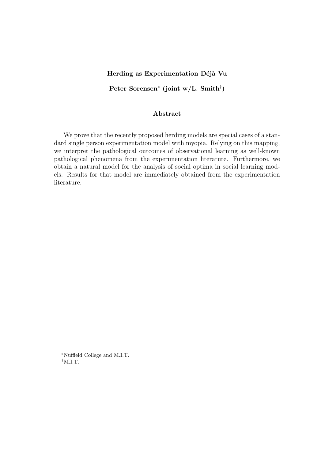### Herding as Experimentation Déjà Vu

Peter Sorensen<sup>∗</sup> (joint w/L. Smith† )

# Abstract

We prove that the recently proposed herding models are special cases of a standard single person experimentation model with myopia. Relying on this mapping, we interpret the pathological outcomes of observational learning as well-known pathological phenomena from the experimentation literature. Furthermore, we obtain a natural model for the analysis of social optima in social learning models. Results for that model are immediately obtained from the experimentation literature.

<sup>∗</sup>Nuffield College and M.I.T. †M.I.T.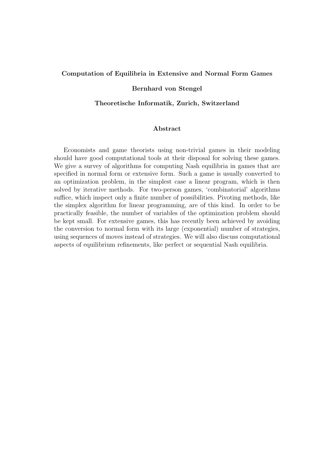#### Computation of Equilibria in Extensive and Normal Form Games

#### Bernhard von Stengel

# Theoretische Informatik, Zurich, Switzerland

# Abstract

Economists and game theorists using non-trivial games in their modeling should have good computational tools at their disposal for solving these games. We give a survey of algorithms for computing Nash equilibria in games that are specified in normal form or extensive form. Such a game is usually converted to an optimization problem, in the simplest case a linear program, which is then solved by iterative methods. For two-person games, 'combinatorial' algorithms suffice, which inspect only a finite number of possibilities. Pivoting methods, like the simplex algorithm for linear programming, are of this kind. In order to be practically feasible, the number of variables of the optimization problem should be kept small. For extensive games, this has recently been achieved by avoiding the conversion to normal form with its large (exponential) number of strategies, using sequences of moves instead of strategies. We will also discuss computational aspects of equilibrium refinements, like perfect or sequential Nash equilibria.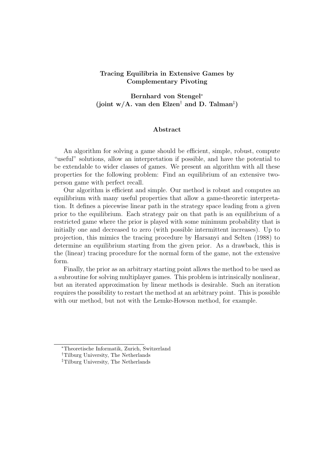# Tracing Equilibria in Extensive Games by Complementary Pivoting

Bernhard von Stengel<sup>∗</sup> (joint w/A. van den Elzen<sup>†</sup> and D. Talman<sup>‡</sup>)

#### Abstract

An algorithm for solving a game should be efficient, simple, robust, compute "useful" solutions, allow an interpretation if possible, and have the potential to be extendable to wider classes of games. We present an algorithm with all these properties for the following problem: Find an equilibrium of an extensive twoperson game with perfect recall.

Our algorithm is efficient and simple. Our method is robust and computes an equilibrium with many useful properties that allow a game-theoretic interpretation. It defines a piecewise linear path in the strategy space leading from a given prior to the equilibrium. Each strategy pair on that path is an equilibrium of a restricted game where the prior is played with some minimum probability that is initially one and decreased to zero (with possible intermittent increases). Up to projection, this mimics the tracing procedure by Harsanyi and Selten (1988) to determine an equilibrium starting from the given prior. As a drawback, this is the (linear) tracing procedure for the normal form of the game, not the extensive form.

Finally, the prior as an arbitrary starting point allows the method to be used as a subroutine for solving multiplayer games. This problem is intrinsically nonlinear, but an iterated approximation by linear methods is desirable. Such an iteration requires the possibility to restart the method at an arbitrary point. This is possible with our method, but not with the Lemke-Howson method, for example.

<sup>∗</sup>Theoretische Informatik, Zurich, Switzerland

<sup>†</sup>Tilburg University, The Netherlands

<sup>‡</sup>Tilburg University, The Netherlands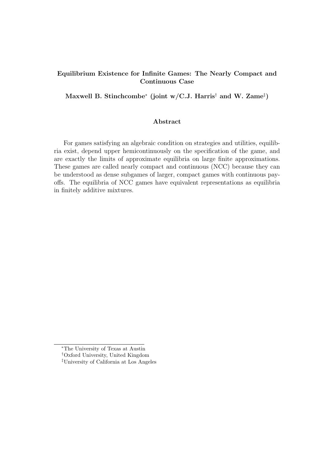# Equilibrium Existence for Infinite Games: The Nearly Compact and Continuous Case

Maxwell B. Stinchcombe $^*$  (joint w/C.J. Harris $^\dagger$  and W. Zame $^\ddagger)$ 

# Abstract

For games satisfying an algebraic condition on strategies and utilities, equilibria exist, depend upper hemicontinuously on the specification of the game, and are exactly the limits of approximate equilibria on large finite approximations. These games are called nearly compact and continuous (NCC) because they can be understood as dense subgames of larger, compact games with continuous payoffs. The equilibria of NCC games have equivalent representations as equilibria in finitely additive mixtures.

<sup>∗</sup>The University of Texas at Austin

<sup>†</sup>Oxford University, United Kingdom

<sup>‡</sup>University of California at Los Angeles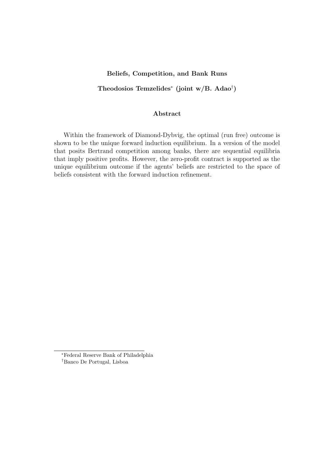### Beliefs, Competition, and Bank Runs

# Theodosios Temzelides<sup>∗</sup> (joint w/B. Adao† )

### Abstract

Within the framework of Diamond-Dybvig, the optimal (run free) outcome is shown to be the unique forward induction equilibrium. In a version of the model that posits Bertrand competition among banks, there are sequential equilibria that imply positive profits. However, the zero-profit contract is supported as the unique equilibrium outcome if the agents' beliefs are restricted to the space of beliefs consistent with the forward induction refinement.

<sup>∗</sup>Federal Reserve Bank of Philadelphia †Banco De Portugal, Lisboa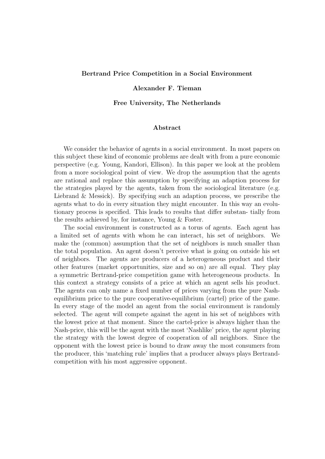#### Bertrand Price Competition in a Social Environment

### Alexander F. Tieman

#### Free University, The Netherlands

# Abstract

We consider the behavior of agents in a social environment. In most papers on this subject these kind of economic problems are dealt with from a pure economic perspective (e.g. Young, Kandori, Ellison). In this paper we look at the problem from a more sociological point of view. We drop the assumption that the agents are rational and replace this assumption by specifying an adaption process for the strategies played by the agents, taken from the sociological literature (e.g. Liebrand & Messick). By specifying such an adaption process, we prescribe the agents what to do in every situation they might encounter. In this way an evolutionary process is specified. This leads to results that differ substan- tially from the results achieved by, for instance, Young & Foster.

The social environment is constructed as a torus of agents. Each agent has a limited set of agents with whom he can interact, his set of neighbors. We make the (common) assumption that the set of neighbors is much smaller than the total population. An agent doesn't perceive what is going on outside his set of neighbors. The agents are producers of a heterogeneous product and their other features (market opportunities, size and so on) are all equal. They play a symmetric Bertrand-price competition game with heterogeneous products. In this context a strategy consists of a price at which an agent sells his product. The agents can only name a fixed number of prices varying from the pure Nashequilibrium price to the pure cooperative-equilibrium (cartel) price of the game. In every stage of the model an agent from the social environment is randomly selected. The agent will compete against the agent in his set of neighbors with the lowest price at that moment. Since the cartel-price is always higher than the Nash-price, this will be the agent with the most 'Nashlike' price, the agent playing the strategy with the lowest degree of cooperation of all neighbors. Since the opponent with the lowest price is bound to draw away the most consumers from the producer, this 'matching rule' implies that a producer always plays Bertrandcompetition with his most aggressive opponent.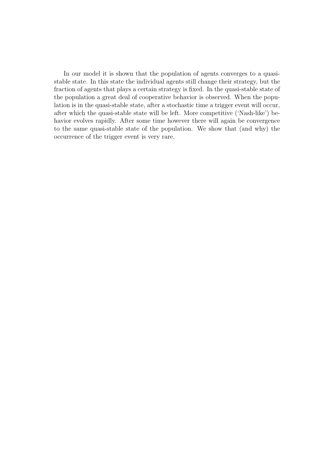In our model it is shown that the population of agents converges to a quasistable state. In this state the individual agents still change their strategy, but the fraction of agents that plays a certain strategy is fixed. In the quasi-stable state of the population a great deal of cooperative behavior is observed. When the population is in the quasi-stable state, after a stochastic time a trigger event will occur, after which the quasi-stable state will be left. More competitive ('Nash-like') behavior evolves rapidly. After some time however there will again be convergence to the same quasi-stable state of the population. We show that (and why) the occurrence of the trigger event is very rare.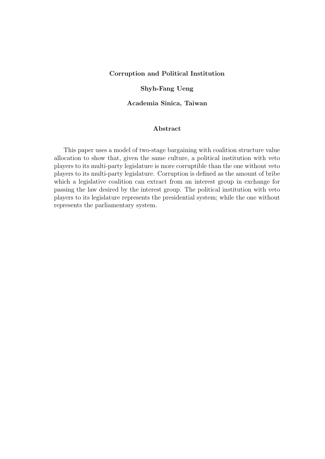### Corruption and Political Institution

# Shyh-Fang Ueng

### Academia Sinica, Taiwan

# Abstract

This paper uses a model of two-stage bargaining with coalition structure value allocation to show that, given the same culture, a political institution with veto players to its multi-party legislature is more corruptible than the one without veto players to its multi-party legislature. Corruption is defined as the amount of bribe which a legislative coalition can extract from an interest group in exchange for passing the law desired by the interest group. The political institution with veto players to its legislature represents the presidential system; while the one without represents the parliamentary system.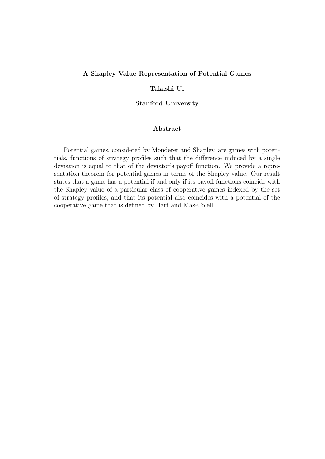# A Shapley Value Representation of Potential Games

### Takashi Ui

Stanford University

### Abstract

Potential games, considered by Monderer and Shapley, are games with potentials, functions of strategy profiles such that the difference induced by a single deviation is equal to that of the deviator's payoff function. We provide a representation theorem for potential games in terms of the Shapley value. Our result states that a game has a potential if and only if its payoff functions coincide with the Shapley value of a particular class of cooperative games indexed by the set of strategy profiles, and that its potential also coincides with a potential of the cooperative game that is defined by Hart and Mas-Colell.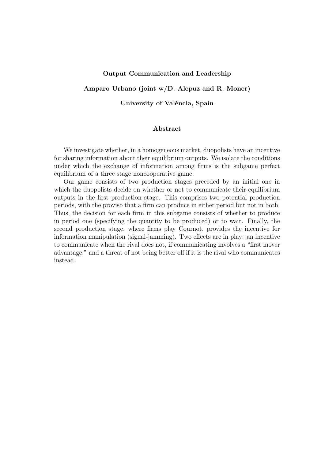#### Output Communication and Leadership

# Amparo Urbano (joint w/D. Alepuz and R. Moner)

University of València, Spain

# Abstract

We investigate whether, in a homogeneous market, duopolists have an incentive for sharing information about their equilibrium outputs. We isolate the conditions under which the exchange of information among firms is the subgame perfect equilibrium of a three stage noncooperative game.

Our game consists of two production stages preceded by an initial one in which the duopolists decide on whether or not to communicate their equilibrium outputs in the first production stage. This comprises two potential production periods, with the proviso that a firm can produce in either period but not in both. Thus, the decision for each firm in this subgame consists of whether to produce in period one (specifying the quantity to be produced) or to wait. Finally, the second production stage, where firms play Cournot, provides the incentive for information manipulation (signal-jamming). Two effects are in play: an incentive to communicate when the rival does not, if communicating involves a "first mover advantage," and a threat of not being better off if it is the rival who communicates instead.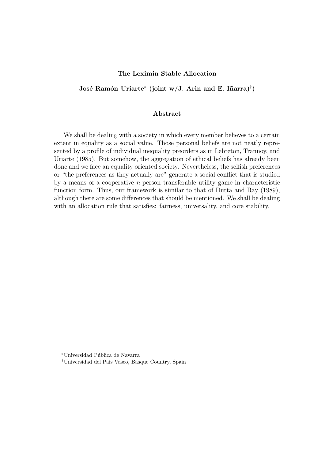### The Leximin Stable Allocation

# José Ramón Uriarte<sup>\*</sup> (joint w/J. Arin and E. Iñarra)<sup>†</sup>)

#### Abstract

We shall be dealing with a society in which every member believes to a certain extent in equality as a social value. Those personal beliefs are not neatly represented by a profile of individual inequality preorders as in Lebreton, Trannoy, and Uriarte (1985). But somehow, the aggregation of ethical beliefs has already been done and we face an equality oriented society. Nevertheless, the selfish preferences or "the preferences as they actually are" generate a social conflict that is studied by a means of a cooperative n-person transferable utility game in characteristic function form. Thus, our framework is similar to that of Dutta and Ray (1989), although there are some differences that should be mentioned. We shall be dealing with an allocation rule that satisfies: fairness, universality, and core stability.

<sup>∗</sup>Universidad P´ublica de Navarra

<sup>†</sup>Universidad del Pais Vasco, Basque Country, Spain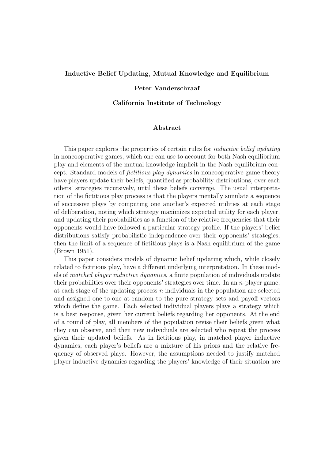#### Inductive Belief Updating, Mutual Knowledge and Equilibrium

### Peter Vanderschraaf

#### California Institute of Technology

### Abstract

This paper explores the properties of certain rules for *inductive belief updating* in noncooperative games, which one can use to account for both Nash equilibrium play and elements of the mutual knowledge implicit in the Nash equilibrium concept. Standard models of fictitious play dynamics in noncooperative game theory have players update their beliefs, quantified as probability distributions, over each others' strategies recursively, until these beliefs converge. The usual interpretation of the fictitious play process is that the players mentally simulate a sequence of successive plays by computing one another's expected utilities at each stage of deliberation, noting which strategy maximizes expected utility for each player, and updating their probabilities as a function of the relative frequencies that their opponents would have followed a particular strategy profile. If the players' belief distributions satisfy probabilistic independence over their opponents' strategies, then the limit of a sequence of fictitious plays is a Nash equilibrium of the game (Brown 1951).

This paper considers models of dynamic belief updating which, while closely related to fictitious play, have a different underlying interpretation. In these models of matched player inductive dynamics, a finite population of individuals update their probabilities over their opponents' strategies over time. In an n-player game, at each stage of the updating process  $n$  individuals in the population are selected and assigned one-to-one at random to the pure strategy sets and payoff vectors which define the game. Each selected individual players plays a strategy which is a best response, given her current beliefs regarding her opponents. At the end of a round of play, all members of the population revise their beliefs given what they can observe, and then new individuals are selected who repeat the process given their updated beliefs. As in fictitious play, in matched player inductive dynamics, each player's beliefs are a mixture of his priors and the relative frequency of observed plays. However, the assumptions needed to justify matched player inductive dynamics regarding the players' knowledge of their situation are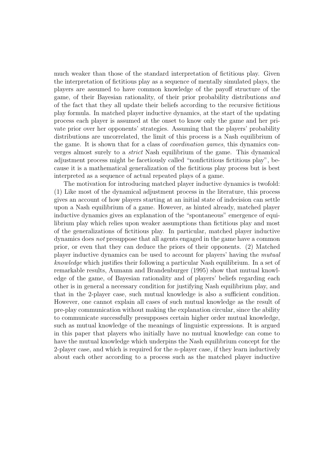much weaker than those of the standard interpretation of fictitious play. Given the interpretation of fictitious play as a sequence of mentally simulated plays, the players are assumed to have common knowledge of the payoff structure of the game, of their Bayesian rationality, of their prior probability distributions and of the fact that they all update their beliefs according to the recursive fictitious play formula. In matched player inductive dynamics, at the start of the updating process each player is assumed at the onset to know only the game and her private prior over her opponents' strategies. Assuming that the players' probability distributions are uncorrelated, the limit of this process is a Nash equilibrium of the game. It is shown that for a class of coordination games, this dynamics converges almost surely to a strict Nash equilibrium of the game. This dynamical adjustment process might be facetiously called "nonfictitious fictitious play", because it is a mathematical generalization of the fictitious play process but is best interpreted as a sequence of actual repeated plays of a game.

The motivation for introducing matched player inductive dynamics is twofold: (1) Like most of the dynamical adjustment process in the literature, this process gives an account of how players starting at an initial state of indecision can settle upon a Nash equilibrium of a game. However, as hinted already, matched player inductive dynamics gives an explanation of the "spontaneous" emergence of equilibrium play which relies upon weaker assumptions than fictitious play and most of the generalizations of fictitious play. In particular, matched player inductive dynamics does not presuppose that all agents engaged in the game have a common prior, or even that they can deduce the priors of their opponents. (2) Matched player inductive dynamics can be used to account for players' having the mutual knowledge which justifies their following a particular Nash equilibrium. In a set of remarkable results, Aumann and Brandenburger (1995) show that mutual knowledge of the game, of Bayesian rationality and of players' beliefs regarding each other is in general a necessary condition for justifying Nash equilibrium play, and that in the 2-player case, such mutual knowledge is also a sufficient condition. However, one cannot explain all cases of such mutual knowledge as the result of pre-play communication without making the explanation circular, since the ability to communicate successfully presupposes certain higher order mutual knowledge, such as mutual knowledge of the meanings of linguistic expressions. It is argued in this paper that players who initially have no mutual knowledge can come to have the mutual knowledge which underpins the Nash equilibrium concept for the 2-player case, and which is required for the *n*-player case, if they learn inductively about each other according to a process such as the matched player inductive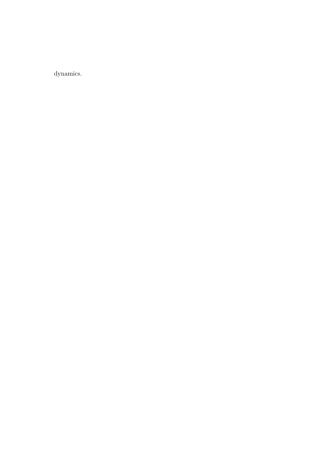dynamics.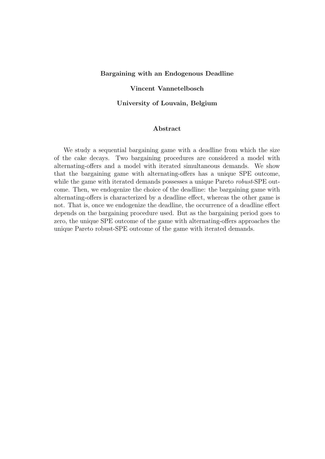#### Bargaining with an Endogenous Deadline

### Vincent Vannetelbosch

#### University of Louvain, Belgium

### Abstract

We study a sequential bargaining game with a deadline from which the size of the cake decays. Two bargaining procedures are considered a model with alternating-offers and a model with iterated simultaneous demands. We show that the bargaining game with alternating-offers has a unique SPE outcome, while the game with iterated demands possesses a unique Pareto *robust*-SPE outcome. Then, we endogenize the choice of the deadline: the bargaining game with alternating-offers is characterized by a deadline effect, whereas the other game is not. That is, once we endogenize the deadline, the occurrence of a deadline effect depends on the bargaining procedure used. But as the bargaining period goes to zero, the unique SPE outcome of the game with alternating-offers approaches the unique Pareto robust-SPE outcome of the game with iterated demands.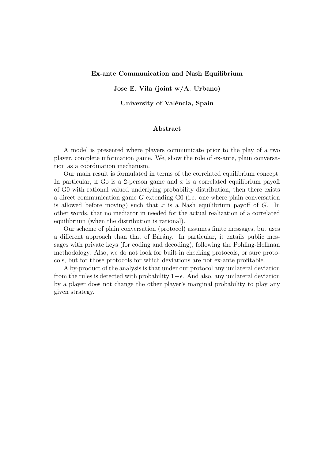### Ex-ante Communication and Nash Equilibrium

Jose E. Vila (joint w/A. Urbano)

University of Valéncia, Spain

# Abstract

A model is presented where players communicate prior to the play of a two player, complete information game. We, show the role of ex-ante, plain conversation as a coordination mechanism.

Our main result is formulated in terms of the correlated equilibrium concept. In particular, if Go is a 2-person game and  $x$  is a correlated equilibrium payoff of G0 with rational valued underlying probability distribution, then there exists a direct communication game G extending G0 (i.e. one where plain conversation is allowed before moving) such that  $x$  is a Nash equilibrium payoff of  $G$ . In other words, that no mediator in needed for the actual realization of a correlated equilibrium (when the distribution is rational).

Our scheme of plain conversation (protocol) assumes finite messages, but uses a different approach than that of Barany. In particular, it entails public messages with private keys (for coding and decoding), following the Pohling-Hellman methodology. Also, we do not look for built-in checking protocols, or sure protocols, but for those protocols for which deviations are not ex-ante profitable.

A by-product of the analysis is that under our protocol any unilateral deviation from the rules is detected with probability  $1-\epsilon$ . And also, any unilateral deviation by a player does not change the other player's marginal probability to play any given strategy.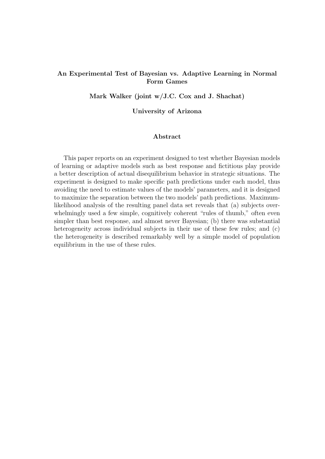# An Experimental Test of Bayesian vs. Adaptive Learning in Normal Form Games

Mark Walker (joint w/J.C. Cox and J. Shachat)

### University of Arizona

### Abstract

This paper reports on an experiment designed to test whether Bayesian models of learning or adaptive models such as best response and fictitious play provide a better description of actual disequilibrium behavior in strategic situations. The experiment is designed to make specific path predictions under each model, thus avoiding the need to estimate values of the models' parameters, and it is designed to maximize the separation between the two models' path predictions. Maximumlikelihood analysis of the resulting panel data set reveals that (a) subjects overwhelmingly used a few simple, cognitively coherent "rules of thumb," often even simpler than best response, and almost never Bayesian; (b) there was substantial heterogeneity across individual subjects in their use of these few rules; and  $(c)$ the heterogeneity is described remarkably well by a simple model of population equilibrium in the use of these rules.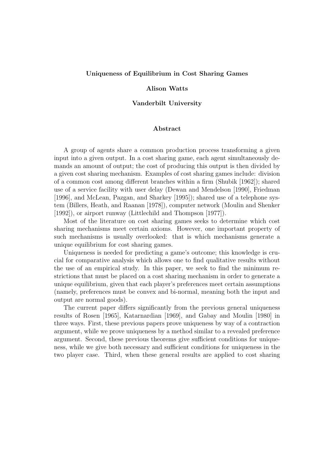#### Uniqueness of Equilibrium in Cost Sharing Games

#### Alison Watts

#### Vanderbilt University

# Abstract

A group of agents share a common production process transforming a given input into a given output. In a cost sharing game, each agent simultaneously demands an amount of output; the cost of producing this output is then divided by a given cost sharing mechanism. Examples of cost sharing games include: division of a common cost among different branches within a firm (Shubik [1962]); shared use of a service facility with user delay (Dewan and Mendelson [1990], Friedman [1996], and McLean, Pazgan, and Sharkey [1995]); shared use of a telephone system (Billers, Heath, and Raanan [1978]), computer network (Moulin and Shenker [1992]), or airport runway (Littlechild and Thompson [1977]).

Most of the literature on cost sharing games seeks to determine which cost sharing mechanisms meet certain axioms. However, one important property of such mechanisms is usually overlooked: that is which mechanisms generate a unique equilibrium for cost sharing games.

Uniqueness is needed for predicting a game's outcome; this knowledge is crucial for comparative analysis which allows one to find qualitative results without the use of an empirical study. In this paper, we seek to find the minimum restrictions that must be placed on a cost sharing mechanism in order to generate a unique equilibrium, given that each player's preferences meet certain assumptions (namely, preferences must be convex and bi-normal, meaning both the input and output are normal goods).

The current paper differs significantly from the previous general uniqueness results of Rosen [1965], Katarnardian [1969], and Gabay and Moulin [1980] in three ways. First, these previous papers prove uniqueness by way of a contraction argument, while we prove uniqueness by a method similar to a revealed preference argument. Second, these previous theorems give sufficient conditions for uniqueness, while we give both necessary and sufficient conditions for uniqueness in the two player case. Third, when these general results are applied to cost sharing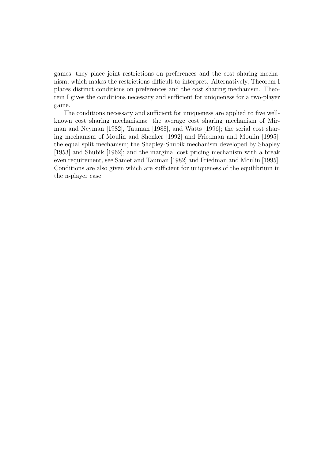games, they place joint restrictions on preferences and the cost sharing mechanism, which makes the restrictions difficult to interpret. Alternatively, Theorem I places distinct conditions on preferences and the cost sharing mechanism. Theorem I gives the conditions necessary and sufficient for uniqueness for a two-player game.

The conditions necessary and sufficient for uniqueness are applied to five wellknown cost sharing mechanisms: the average cost sharing mechanism of Mirman and Neyman [1982], Tauman [1988], and Watts [1996]; the serial cost sharing mechanism of Moulin and Shenker [1992] and Friedman and Moulin [1995]; the equal split mechanism; the Shapley-Shubik mechanism developed by Shapley [1953] and Shubik [1962]; and the marginal cost pricing mechanism with a break even requirement, see Samet and Tauman [1982] and Friedman and Moulin [1995]. Conditions are also given which are sufficient for uniqueness of the equilibrium in the n-player case.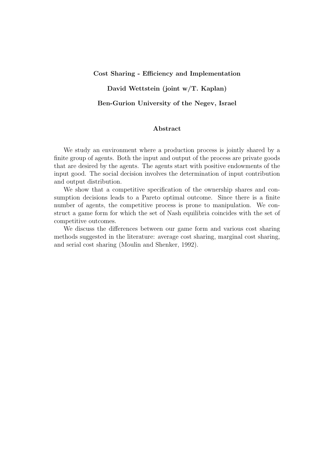#### Cost Sharing - Efficiency and Implementation

# David Wettstein (joint w/T. Kaplan)

#### Ben-Gurion University of the Negev, Israel

# Abstract

We study an environment where a production process is jointly shared by a finite group of agents. Both the input and output of the process are private goods that are desired by the agents. The agents start with positive endowments of the input good. The social decision involves the determination of input contribution and output distribution.

We show that a competitive specification of the ownership shares and consumption decisions leads to a Pareto optimal outcome. Since there is a finite number of agents, the competitive process is prone to manipulation. We construct a game form for which the set of Nash equilibria coincides with the set of competitive outcomes.

We discuss the differences between our game form and various cost sharing methods suggested in the literature: average cost sharing, marginal cost sharing, and serial cost sharing (Moulin and Shenker, 1992).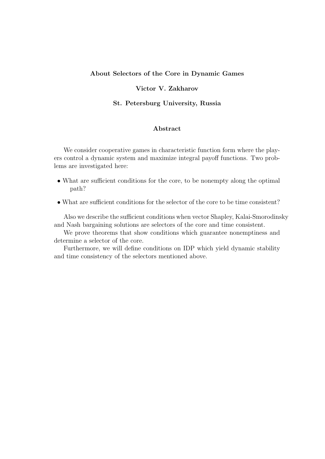# About Selectors of the Core in Dynamic Games

# Victor V. Zakharov

### St. Petersburg University, Russia

# Abstract

We consider cooperative games in characteristic function form where the players control a dynamic system and maximize integral payoff functions. Two problems are investigated here:

- What are sufficient conditions for the core, to be nonempty along the optimal path?
- What are sufficient conditions for the selector of the core to be time consistent?

Also we describe the sufficient conditions when vector Shapley, Kalai-Smorodinsky and Nash bargaining solutions are selectors of the core and time consistent.

We prove theorems that show conditions which guarantee nonemptiness and determine a selector of the core.

Furthermore, we will define conditions on IDP which yield dynamic stability and time consistency of the selectors mentioned above.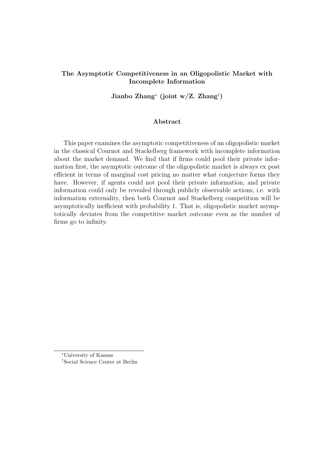# The Asymptotic Competitiveness in an Oligopolistic Market with Incomplete Information

Jianbo Zhang<sup>∗</sup> (joint w/Z. Zhang† )

### Abstract

This paper examines the asymptotic competitiveness of an oligopolistic market in the classical Cournot and Stackelberg framework with incomplete information about the market demand. We find that if firms could pool their private information first, the asymptotic outcome of the oligopolistic market is always ex post efficient in terms of marginal cost pricing no matter what conjecture forms they have. However, if agents could not pool their private information, and private information could only be revealed through publicly observable actions, i.e. with information externality, then both Cournot and Stackelberg competition will be asymptotically inefficient with probability 1. That is, oligopolistic market asymptotically deviates from the competitive market outcome even as the number of firms go to infinity.

<sup>∗</sup>University of Kansas †Social Science Center at Berlin